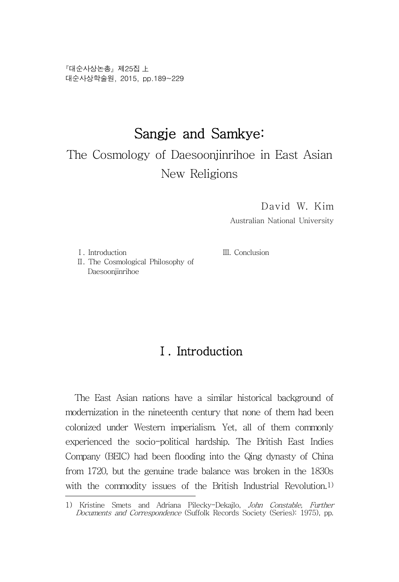『대순사상논총』 제25집 上 대순사상학술원, 2015, pp.189~229

# Sangje and Samkye:

The Cosmology of Daesoonjinrihoe in East Asian New Religions

David W. Kim

Australian National University

Ⅰ. Introduction

Ⅲ. Conclusion

Ⅱ. The Cosmological Philosophy of Daesoonjinrihoe

## Ⅰ. Introduction

The East Asian nations have a similar historical background of modernization in the nineteenth century that none of them had been colonized under Western imperialism. Yet, all of them commonly experienced the socio-political hardship. The British East Indies Company (BEIC) had been flooding into the Qing dynasty of China from 1720, but the genuine trade balance was broken in the 1830s with the commodity issues of the British Industrial Revolution.<sup>1)</sup>

<sup>1)</sup> Kristine Smets and Adriana Pilecky-Dekajlo, John Constable, Further Documents and Correspondence (Suffolk Records Society (Series): 1975), pp.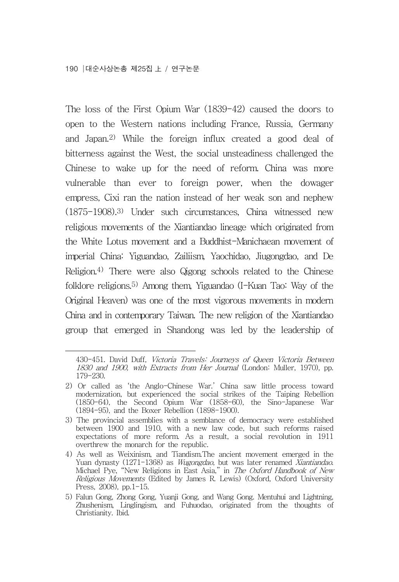The loss of the First Opium War (1839-42) caused the doors to open to the Western nations including France, Russia, Germany and Japan.2) While the foreign influx created a good deal of bitterness against the West, the social unsteadiness challenged the Chinese to wake up for the need of reform. China was more vulnerable than ever to foreign power, when the dowager empress, Cixi ran the nation instead of her weak son and nephew (1875-1908).3) Under such circumstances, China witnessed new religious movements of the Xiantiandao lineage which originated from the White Lotus movement and a Buddhist-Manichaean movement of imperial China: Yiguandao, Zailiism, Yaochidao, Jiugongdao, and De Religion.4) There were also Qigong schools related to the Chinese folklore religions.5) Among them, Yiguandao (I-Kuan Tao: Way of the Original Heaven) was one of the most vigorous movements in modern China and in contemporary Taiwan. The new religion of the Xiantiandao group that emerged in Shandong was led by the leadership of

<sup>430-451.</sup> David Duff, Victoria Travels: Journeys of Queen Victoria Between 1830 and 1900, with Extracts from Her Journal (London: Muller, 1970), pp. 179-230.

<sup>2)</sup> Or called as 'the Anglo-Chinese War.' China saw little process toward modernization, but experienced the social strikes of the Taiping Rebellion (1850-64), the Second Opium War (1858-60), the Sino-Japanese War (1894-95), and the Boxer Rebellion (1898-1900).

<sup>3)</sup> The provincial assemblies with a semblance of democracy were established between 1900 and 1910, with a new law code, but such reforms raised expectations of more reform. As a result, a social revolution in 1911 overthrew the monarch for the republic.

<sup>4)</sup> As well as Weixinism, and Tiandism.The ancient movement emerged in the Yuan dynasty (1271-1368) as *Wugongdao*, but was later renamed *Xiantiandao*.<br>Michael Pye, "New Religions in East Asia," in *The Oxford Handbook of New* Religious Movements (Edited by James R. Lewis) (Oxford, Oxford University Press, 2008), pp.1-15.

<sup>5)</sup> Falun Gong, Zhong Gong, Yuanji Gong, and Wang Gong. Mentuhui and Lightning, Zhushenism, Linglingism, and Fuhuodao, originated from the thoughts of Christianity. Ibid.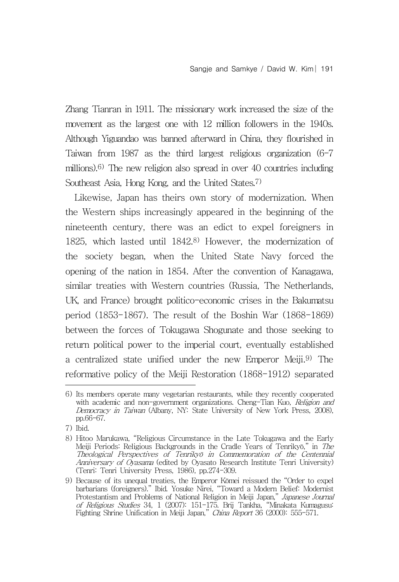Zhang Tianran in 1911. The missionary work increased the size of the movement as the largest one with 12 million followers in the 1940s. Although Yiguandao was banned afterward in China, they flourished in Taiwan from 1987 as the third largest religious organization (6-7 millions).6) The new religion also spread in over 40 countries including Southeast Asia, Hong Kong, and the United States.7)

Likewise, Japan has theirs own story of modernization. When the Western ships increasingly appeared in the beginning of the nineteenth century, there was an edict to expel foreigners in 1825, which lasted until 1842.8) However, the modernization of the society began, when the United State Navy forced the opening of the nation in 1854. After the convention of Kanagawa, similar treaties with Western countries (Russia, The Netherlands, UK, and France) brought politico-economic crises in the Bakumatsu period (1853-1867). The result of the Boshin War (1868-1869) between the forces of Tokugawa Shogunate and those seeking to return political power to the imperial court, eventually established a centralized state unified under the new Emperor Meiji.9) The reformative policy of the Meiji Restoration (1868-1912) separated

<sup>6)</sup> Its members operate many vegetarian restaurants, while they recently cooperated with academic and non-government organizations. Cheng-Tian Kuo, Religion and Democracy in Taiwan (Albany, NY: State University of New York Press, 2008), pp.66-67.

<sup>7)</sup> Ibid.

<sup>8)</sup> Hitoo Marukawa, "Religious Circumstance in the Late Tokugawa and the Early Meiji Periods: Religious Backgrounds in the Cradle Years of Tenrikyō," in The Theological Perspectives of Tenrikyō in Commemoration of the Centennial Anniversary of Oyasama (edited by Oyasato Research Institute Tenri University) (Tenri: Tenri University Press, 1986), pp.274-309.

<sup>9)</sup> Because of its unequal treaties, the Emperor Kōmei reissued the "Order to expel barbarians (foreigners)." Ibid. Yosuke Nirei, "Toward a Modern Belief: Modernist Protestantism and Problems of National Religion in Meiji Japan," Japanese Journal of Religious Studies 34, 1 (2007): 151-175. Brij Tankha, "Minakata Kumagusu: Fighting Shrine Unification in Meiji Japan," China Report 36 (2000): 555-571.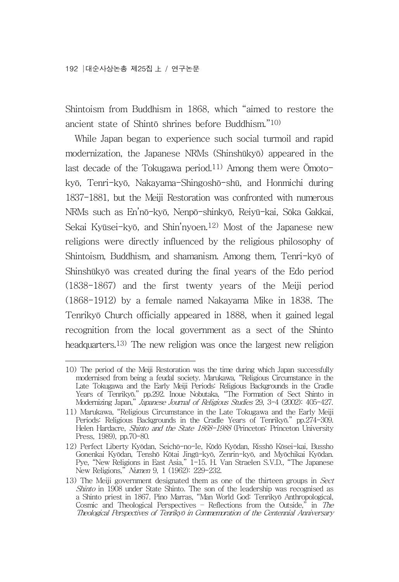Shintoism from Buddhism in 1868, which "aimed to restore the ancient state of Shintō shrines before Buddhism."10)

While Japan began to experience such social turmoil and rapid modernization, the Japanese NRMs (Shinshūkyō) appeared in the last decade of the Tokugawa period.<sup>11)</sup> Among them were  $\bar{O}$ motokyō, Tenri-kyō, Nakayama-Shingoshō-shū, and Honmichi during 1837-1881, but the Meiji Restoration was confronted with numerous NRMs such as En'nō-kyō, Nenpō-shinkyō, Reiyū-kai, Sōka Gakkai, Sekai Kyūsei-kyō, and Shin'nyoen.12) Most of the Japanese new religions were directly influenced by the religious philosophy of Shintoism, Buddhism, and shamanism. Among them, Tenri-kyō of Shinshūkyō was created during the final years of the Edo period (1838-1867) and the first twenty years of the Meiji period (1868-1912) by a female named Nakayama Mike in 1838. The Tenrikyō Church officially appeared in 1888, when it gained legal recognition from the local government as a sect of the Shinto headquarters.13) The new religion was once the largest new religion

<sup>10)</sup> The period of the Meiji Restoration was the time during which Japan successfully modernised from being a feudal society. Marukawa, "Religious Circumstance in the Late Tokugawa and the Early Meiji Periods: Religious Backgrounds in the Cradle Years of Tenrikyō." pp.292. Inoue Nobutaka, "The Formation of Sect Shinto in Modernizing Japan," Japanese Journal of Religious Studies 29, 3-4 (2002): 405-427.

<sup>11)</sup> Marukawa, "Religious Circumstance in the Late Tokugawa and the Early Meiji Periods: Religious Backgrounds in the Cradle Years of Tenrikyō." pp.274-309. Helen Hardacre, Shinto and the State 1868-1988 (Princeton: Princeton University Press, 1989), pp.70-80.

<sup>12)</sup> Perfect Liberty Kyōdan, Seichō-no-Ie, Kōdō Kyōdan, Risshō Kōsei-kai, Bussho Gonenkai Kyōdan, Tenshō Kōtai Jingū-kyō, Zenrin-kyō, and Myōchikai Kyōdan. Pye, "New Religions in East Asia," 1-15. H. Van Straelen S.V.D., "The Japanese New Religions," Numen 9, 1 (1962): 229-232.

<sup>13)</sup> The Meiji government designated them as one of the thirteen groups in Sect Shinto in 1908 under State Shinto. The son of the leadership was recognised as a Shinto priest in 1867. Pino Marras, "Man World God: Tenrikyō Anthropological, Cosmic and Theological Perspectives – Reflections from the Outside," in The Theological Perspectives of Tenrikyō in Commemoration of the Centennial Anniversary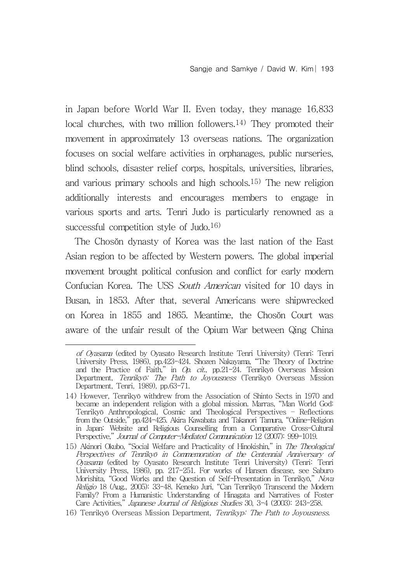in Japan before World War II. Even today, they manage 16,833 local churches, with two million followers.<sup>14)</sup> They promoted their movement in approximately 13 overseas nations. The organization focuses on social welfare activities in orphanages, public nurseries, blind schools, disaster relief corps, hospitals, universities, libraries, and various primary schools and high schools.15) The new religion additionally interests and encourages members to engage in various sports and arts. Tenri Judo is particularly renowned as a successful competition style of Judo.16)

The Chosŏn dynasty of Korea was the last nation of the East Asian region to be affected by Western powers. The global imperial movement brought political confusion and conflict for early modern Confucian Korea. The USS South American visited for 10 days in Busan, in 1853. After that, several Americans were shipwrecked on Korea in 1855 and 1865. Meantime, the Chosŏn Court was aware of the unfair result of the Opium War between Qing China

of Oyasama (edited by Oyasato Research Institute Tenri University) (Tenri: Tenri University Press, 1986), pp.423-424. Shozen Nakayama, "The Theory of Doctrine and the Practice of Faith," in Op. cit., pp.21-24. Tenrikyō Overseas Mission Department, Tenrikyō: The Path to Joyousness (Tenrikyō Overseas Mission Department, Tenri, 1989), pp.63-71.

<sup>14)</sup> However, Tenrikyō withdrew from the Association of Shinto Sects in 1970 and became an independent religion with a global mission. Marras, "Man World God: Tenrikyō Anthropological, Cosmic and Theological Perspectives – Reflections from the Outside," pp.424-425. Akira Kawabata and Takanori Tamura, "Online-Religion in Japan: Website and Religious Counselling from a Comparative Cross-Cultural Perspective," Journal of Computer-Mediated Communication 12 (2007): 999-1019.

<sup>15)</sup> Akinori Okubo, "Social Welfare and Practicality of Hinokishin," in The Theological Perspectives of Tenrikyō in Commemoration of the Centennial Anniversary of Oyasama (edited by Oyasato Research Institute Tenri University) (Tenri: Tenri University Press, 1986), pp. 217-251. For works of Hansen disease, see Saburo Morishita, "Good Works and the Question of Self-Presentation in Tenrikyō," Nova Religio 18 (Aug., 2005): 33-48. Keneko Juri, "Can Tenrikyō Transcend the Modern Family? From a Humanistic Understanding of Hinagata and Narratives of Foster Care Activities," Japanese Journal of Religious Studies 30, 3-4 (2003): 243-258.

<sup>16)</sup> Tenrikyō Overseas Mission Department, Tenrikyp: The Path to Joyousness.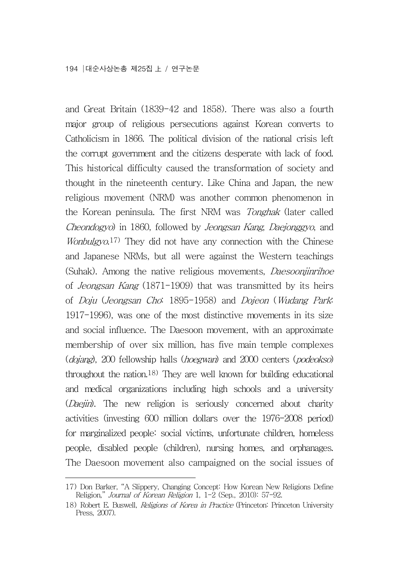and Great Britain (1839-42 and 1858). There was also a fourth major group of religious persecutions against Korean converts to Catholicism in 1866. The political division of the national crisis left the corrupt government and the citizens desperate with lack of food. This historical difficulty caused the transformation of society and thought in the nineteenth century. Like China and Japan, the new religious movement (NRM) was another common phenomenon in the Korean peninsula. The first NRM was Tonghak (later called Cheondogyo) in 1860, followed by Jeongsan Kang, Daejonggyo, and Wonbulgyo.<sup>17)</sup> They did not have any connection with the Chinese and Japanese NRMs, but all were against the Western teachings (Suhak). Among the native religious movements, Daesoonjinrihoe of Jeongsan Kang (1871-1909) that was transmitted by its heirs of Doju (Jeongsan Cho: 1895-1958) and Dojeon (Wudang Park: 1917-1996), was one of the most distinctive movements in its size and social influence. The Daesoon movement, with an approximate membership of over six million, has five main temple complexes (dojang), 200 fellowship halls (hoegwan) and 2000 centers (podeokso) throughout the nation.18) They are well known for building educational and medical organizations including high schools and a university (Daejin). The new religion is seriously concerned about charity activities (investing 600 million dollars over the 1976-2008 period) for marginalized people: social victims, unfortunate children, homeless people, disabled people (children), nursing homes, and orphanages. The Daesoon movement also campaigned on the social issues of

<sup>17)</sup> Don Barker, "A Slippery, Changing Concept: How Korean New Religions Define Religion," Journal of Korean Religion 1, 1-2 (Sep., 2010): 57-92.

<sup>18)</sup> Robert E. Buswell, Religions of Korea in Practice (Princeton: Princeton University Press, 2007).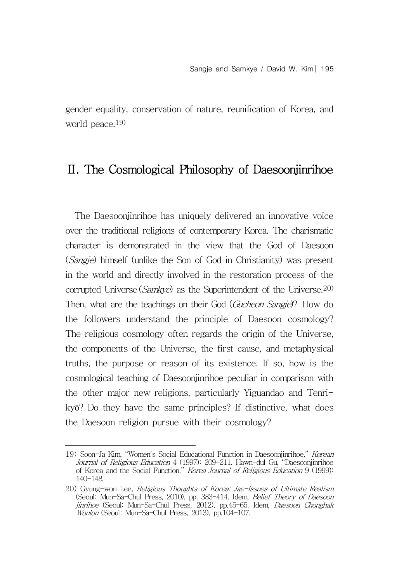gender equality, conservation of nature, reunification of Korea, and world peace.19)

## Ⅱ. The Cosmological Philosophy of Daesoonjinrihoe

The Daesoonjinrihoe has uniquely delivered an innovative voice over the traditional religions of contemporary Korea. The charismatic character is demonstrated in the view that the God of Daesoon (*Sangje*) himself (unlike the Son of God in Christianity) was present in the world and directly involved in the restoration process of the corrupted Universe (Samkye) as the Superintendent of the Universe.<sup>20)</sup> Then, what are the teachings on their God (Gucheon Sangje)? How do the followers understand the principle of Daesoon cosmology? The religious cosmology often regards the origin of the Universe, the components of the Universe, the first cause, and metaphysical truths, the purpose or reason of its existence. If so, how is the cosmological teaching of Daesoonjinrihoe peculiar in comparison with the other major new religions, particularly Yiguandao and Tenrikyō? Do they have the same principles? If distinctive, what does the Daesoon religion pursue with their cosmology?

<sup>19)</sup> Soon-Ja Kim, "Women's Social Educational Function in Daesoonjinrihoe," Korean Journal of Religious Education 4 (1997): 209-211. Hawn-dul Gu, "Daesoonjinrihoe of Korea and the Social Function," Korea Journal of Religious Education 9 (1999): 140-148.

<sup>20)</sup> Gyung-won Lee, Religious Thoughts of Korea: Jae-Issues of Ultimate Realism (Seoul: Mun-Sa-Chul Press, 2010), pp. 383-414. Idem, Belief Theory of Daesoon jinrihoe (Seoul: Mun-Sa-Chul Press, 2012), pp.45-65. Idem, Daesoon Chonghak Wonlon (Seoul: Mun-Sa-Chul Press, 2013), pp.104-107.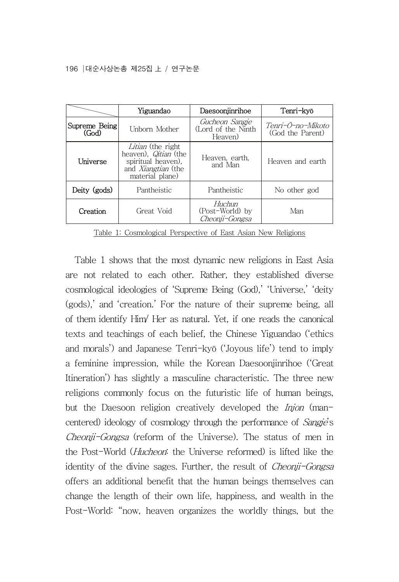|                        | Yiguandao                                                                                                       | Daesoonjinrihoe                                 | Tenri-kyō                             |
|------------------------|-----------------------------------------------------------------------------------------------------------------|-------------------------------------------------|---------------------------------------|
| Supreme Being<br>(God) | Unborn Mother                                                                                                   | Gucheon Sangie<br>(Lord of the Ninth<br>Heaven) | Tenri-Ō-no-Mikoto<br>(God the Parent) |
| Universe               | Litian (the right<br>heaven), <i>Qitian</i> (the<br>spiritual heaven).<br>and Xiangtian (the<br>material plane) | Heaven, earth,<br>and Man                       | Heaven and earth                      |
| Deity (gods)           | Pantheistic                                                                                                     | Pantheistic                                     | No other god                          |
| Creation               | Great Void                                                                                                      | Huchun<br>(Post-World) by<br>Cheonii-Gongsa     | Man                                   |

Table 1: Cosmological Perspective of East Asian New Religions

Table 1 shows that the most dynamic new religions in East Asia are not related to each other. Rather, they established diverse cosmological ideologies of 'Supreme Being (God),' 'Universe,' 'deity (gods),' and 'creation.' For the nature of their supreme being, all of them identify Him/ Her as natural. Yet, if one reads the canonical texts and teachings of each belief, the Chinese Yiguandao ('ethics and morals') and Japanese Tenri-kyō ('Joyous life') tend to imply a feminine impression, while the Korean Daesoonjinrihoe ('Great Itineration') has slightly a masculine characteristic. The three new religions commonly focus on the futuristic life of human beings, but the Daesoon religion creatively developed the *Injon* (mancentered) ideology of cosmology through the performance of Sangje's Cheonji-Gongsa (reform of the Universe). The status of men in the Post-World (Hucheon: the Universe reformed) is lifted like the identity of the divine sages. Further, the result of *Cheonii-Gongsa* offers an additional benefit that the human beings themselves can change the length of their own life, happiness, and wealth in the Post-World: "now, heaven organizes the worldly things, but the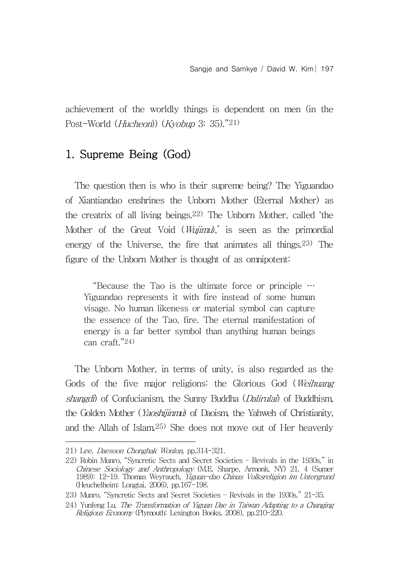achievement of the worldly things is dependent on men (in the Post-World (Hucheon)) (Kyobup 3: 35)."21)

## 1. Supreme Being (God)

The question then is who is their supreme being? The Yiguandao of Xiantiandao enshrines the Unborn Mother (Eternal Mother) as the creatrix of all living beings.22) The Unborn Mother, called 'the Mother of the Great Void (*Wujimu*),' is seen as the primordial energy of the Universe, the fire that animates all things.23) The figure of the Unborn Mother is thought of as omnipotent:

"Because the Tao is the ultimate force or principle … Yiguandao represents it with fire instead of some human visage. No human likeness or material symbol can capture the essence of the Tao, fire. The eternal manifestation of energy is a far better symbol than anything human beings can craft."24)

The Unborn Mother, in terms of unity, is also regarded as the Gods of the five major religions: the Glorious God (Weihuang shangdi) of Confucianism, the Sunny Buddha (*Dalirulai*) of Buddhism, the Golden Mother (*Yaoshijinmu*) of Daoism, the Yahweh of Christianity, and the Allah of Islam.25) She does not move out of Her heavenly

<sup>21)</sup> Lee, Daesoon Chonghak Wonlon, pp.314-321.

<sup>22)</sup> Robin Munro, "Syncretic Sects and Secret Societies – Revivals in the 1930s," in Chinese Sociology and Anthropology (M.E. Sharpe, Armonk, NY) 21, 4 (Sumer 1989): 12-19. Thomas Weyrauch, Yiguan-dao Chinas Volksreligion im Untergrund (Heuchelheim: Longtai, 2006), pp.167-198.

<sup>23)</sup> Munro, "Syncretic Sects and Secret Societies – Revivals in the 1930s." 21-35.

<sup>24)</sup> Yunfeng Lu, The Transformation of Yiguan Dae in Taiwan Adapting to a Changing Religious Economy (Plymouth: Lexington Books, 2008), pp.210-220.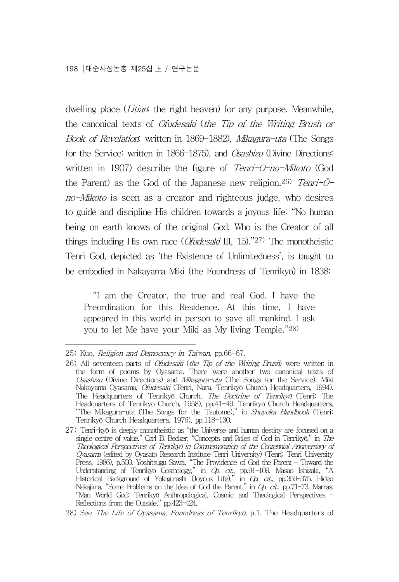dwelling place (*Litian*: the right heaven) for any purpose. Meanwhile, the canonical texts of Ofudesaki (the Tip of the Writing Brush or Book of Revelation: written in 1869-1882), Mikagura-uta (The Songs for the Service: written in 1866-1875), and Osashizu (Divine Directions: written in 1907) describe the figure of Tenri- $\bar{O}$ -no-Mikoto (God the Parent) as the God of the Japanese new religion.<sup>26)</sup> Tenri- $\bar{O}$ no-Mikoto is seen as a creator and righteous judge, who desires to guide and discipline His children towards a joyous life: "No human being on earth knows of the original God, Who is the Creator of all things including His own race (*Ofudesaki* III, 15).<sup>"27)</sup> The monotheistic Tenri God, depicted as 'the Existence of Unlimitedness', is taught to be embodied in Nakayama Miki (the Foundress of Tenrikyō) in 1838:

"I am the Creator, the true and real God. I have the Preordination for this Residence. At this time, I have appeared in this world in person to save all mankind. I ask you to let Me have your Miki as My living Temple."28)

<sup>25)</sup> Kuo, Religion and Democracy in Taiwan, pp.66-67.

<sup>26)</sup> All seventeen parts of Ofudesaki (the Tip of the Writing Brush) were written in the form of poems by Oyasama. There were another two canonical texts of Osashizu (Divine Directions) and Mikagura-uta (The Songs for the Service). Miki Nakayama Oyasama, *Ofudesaki* (Tenri, Nara, Tenrikyō Church Headquarters, 1994). The Headquarters of Tenrikyō Church, The Doctrine of Tenrikyō (Tenri: The Headquarters of Tenrikyō Church, 1958), pp.41-49. Tenrikyō Church Headquarters, "The Mikagura-uta (The Songs for the Tsutome)," in Shuyoka Handbook (Tenri: Tenrikyō Church Headquarters, 1976), pp.118-130.

<sup>27)</sup> Tenri-kyō is deeply monotheistic as "the Universe and human destiny are focused on a single centre of value." Carl B. Becker, "Concepts and Roles of God in Tenrikyō," in  $The$ Theological Perspectives of Tenrikyō in Commemoration of the Centennial Anniversary of Oyasama (edited by Oyasato Research Institute Tenri University) (Tenri: Tenri University Press, 1986), p.500. Yoshitsugu Sawai, "The Providence of God the Parent – Toward the Understanding of Tenrikyō Cosmology," in Op. cit., pp.91-109. Masao Ishizaki, "A Historical Background of Yokigurashi (Joyous Life)," in Op. cit., pp.359-375. Hideo Nakajima, "Some Problems on the Idea of God the Parent," in Op. cit., pp.71-73. Marras, "Man World God: Tenrikyō Anthropological, Cosmic and Theological Perspectives – Reflections from the Outside," pp.423-424.

<sup>28)</sup> See The Life of Oyasama, Foundress of Tenrikyō, p.1. The Headquarters of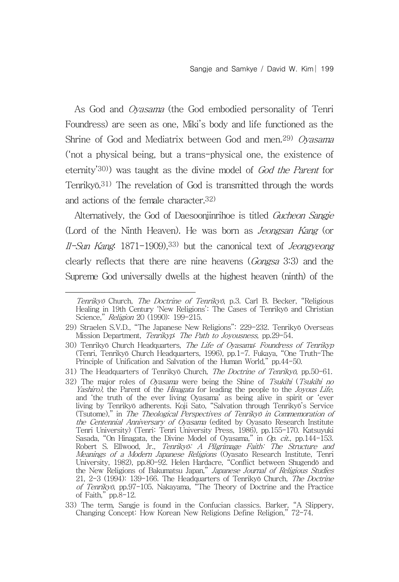As God and Oyasama (the God embodied personality of Tenri Foundress) are seen as one, Miki's body and life functioned as the Shrine of God and Mediatrix between God and men.<sup>29)</sup> Oyasama ('not a physical being, but a trans-physical one, the existence of eternity'30)) was taught as the divine model of God the Parent for Tenrikyō.31) The revelation of God is transmitted through the words and actions of the female character.32)

Alternatively, the God of Daesoonjinrihoe is titled Gucheon Sangje (Lord of the Ninth Heaven). He was born as Jeongsan Kang (or Il-Sun Kang: 1871-1909),33) but the canonical text of Jeongyeong clearly reflects that there are nine heavens (Gongsa 3:3) and the Supreme God universally dwells at the highest heaven (ninth) of the

Tenrikyō Church, The Doctrine of Tenrikyō, p.3. Carl B. Becker, "Religious Healing in 19th Century 'New Religions': The Cases of Tenrikyō and Christian Science," Religion 20 (1990): 199-215.

<sup>29)</sup> Straelen S.V.D., "The Japanese New Religions": 229-232. Tenrikyō Overseas Mission Department, Tenrikyp: The Path to Joyousness, pp.29-54.

<sup>30)</sup> Tenrikyō Church Headquarters, The Life of Oyasama: Foundress of Tenrikyp (Tenri, Tenrikyō Church Headquarters, 1996), pp.1-7. Fukaya, "One Truth-The Principle of Unification and Salvation of the Human World," pp.44-50.

<sup>31)</sup> The Headquarters of Tenrikyō Church, The Doctrine of Tenrikyō, pp.50-61.

<sup>32)</sup> The major roles of *Oyasama* were being the Shine of *Tsukihi* (*Tsukihi no Yashiro*), the Parent of the *Hinagata* for leading the people to the *Joyous Life*, and 'the truth of the ever living Oyasama' as being aliv living by Tenrikyō adherents. Koji Sato, "Salvation through Tenrikyō's Service (Tsutome)," in The Theological Perspectives of Tenrikyō in Commemoration of the Centennial Anniversary of Oyasama (edited by Oyasato Research Institute Tenri University) (Tenri: Tenri University Press, 1986), pp.155-170. Katsuyuki Sasada, "On Hinagata, the Divine Model of Oyasama," in *Op. cit.*, pp.144-153. Robert S. Ellwood, Jr., Tenrikyō: A Pilgrimage Faith: The Structure and Meanings of a Modern Japanese Religions (Oyasato Research Institute, Tenri University, 1982), pp.80-92. Helen Hardacre, "Conflict between Shugendō and the New Religions of Bakumatsu Japan," Japanese Journal of Religious Studies 21, 2-3 (1994): 139-166. The Headquarters of Tenrikyō Church, The Doctrine of Tenrikyō, pp.97-105. Nakayama, "The Theory of Doctrine and the Practice of Faith," pp.8-12.

<sup>33)</sup> The term, Sangje is found in the Confucian classics. Barker, "A Slippery, Changing Concept: How Korean New Religions Define Religion," 72-74.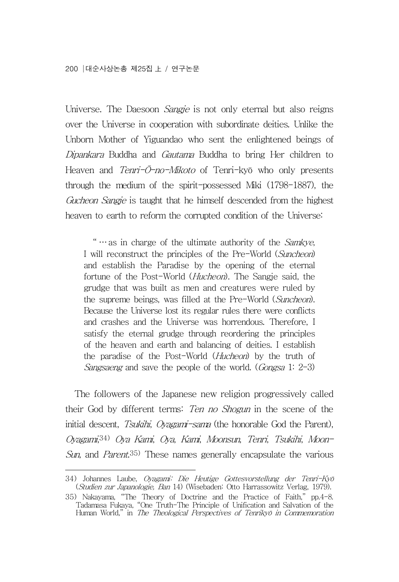Universe. The Daesoon *Sangje* is not only eternal but also reigns over the Universe in cooperation with subordinate deities. Unlike the Unborn Mother of Yiguandao who sent the enlightened beings of Dipankara Buddha and Gautama Buddha to bring Her children to Heaven and Tenri-Ō-no-Mikoto of Tenri-kyō who only presents through the medium of the spirit-possessed Miki (1798-1887), the Gucheon Sangje is taught that he himself descended from the highest heaven to earth to reform the corrupted condition of the Universe:

" ... as in charge of the ultimate authority of the Samkye, I will reconstruct the principles of the Pre-World (Suncheon) and establish the Paradise by the opening of the eternal fortune of the Post-World (*Hucheon*). The Sangje said, the grudge that was built as men and creatures were ruled by the supreme beings, was filled at the Pre-World (Suncheon). Because the Universe lost its regular rules there were conflicts and crashes and the Universe was horrendous. Therefore, I satisfy the eternal grudge through reordering the principles of the heaven and earth and balancing of deities. I establish the paradise of the Post-World (Hucheon) by the truth of Sangsaeng and save the people of the world. (Gongsa 1: 2-3)

The followers of the Japanese new religion progressively called their God by different terms: Ten no Shogun in the scene of the initial descent, Tsukihi, Oyagami-sama (the honorable God the Parent), Oyagami,34) Oya Kami, Oya, Kami, Moonsun, Tenri, Tsukihi, Moon-Sun, and Parent.<sup>35)</sup> These names generally encapsulate the various

<sup>34)</sup> Johannes Laube, Oyagami: Die Heutige Gottesvorstellung der Tenri-Kyō (Studien zur Japanologie, Ban 14) (Wisebaden: Otto Harrassowitz Verlag, 1979).

<sup>35)</sup> Nakayama, "The Theory of Doctrine and the Practice of Faith," pp.4-8. Tadamasa Fukaya, "One Truth-The Principle of Unification and Salvation of the Human World," in The Theological Perspectives of Tenrikyō in Commemoration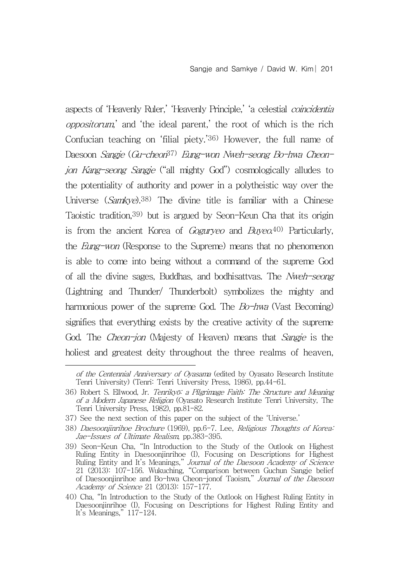aspects of 'Heavenly Ruler,' 'Heavenly Principle,' 'a celestial coincidentia oppositorum,' and 'the ideal parent,' the root of which is the rich Confucian teaching on 'filial piety.'36) However, the full name of Daesoon *Sangje* (Gu-cheon<sup>37)</sup> Eung-won Nweh-seong Bo-hwa Cheonjon Kang-seong Sangje ("all mighty God") cosmologically alludes to the potentiality of authority and power in a polytheistic way over the Universe (Samkye).<sup>38)</sup> The divine title is familiar with a Chinese Taoistic tradition,39) but is argued by Seon-Keun Cha that its origin is from the ancient Korea of *Goguryeo* and  $Buyeo$ <sup>40)</sup> Particularly, the Eung-won (Response to the Supreme) means that no phenomenon is able to come into being without a command of the supreme God of all the divine sages, Buddhas, and bodhisattvas. The Nweh-seong (Lightning and Thunder/ Thunderbolt) symbolizes the mighty and harmonious power of the supreme God. The  $Bo$ -hwa (Vast Becoming) signifies that everything exists by the creative activity of the supreme God. The *Cheon-jon* (Majesty of Heaven) means that *Sangje* is the holiest and greatest deity throughout the three realms of heaven,

of the Centennial Anniversary of Oyasama (edited by Oyasato Research Institute Tenri University) (Tenri: Tenri University Press, 1986), pp.44-61.

<sup>36)</sup> Robert S. Ellwood, Jr. Tenrikyō: a Pilgrimage Faith: The Structure and Meaning of a Modern Japanese Religion (Oyasato Research Institute Tenri University, The Tenri University Press, 1982), pp.81-82.

<sup>37)</sup> See the next section of this paper on the subject of the 'Universe.'

<sup>38)</sup> Daesoonjinrihoe Brochure (1969), pp.6-7. Lee, Religious Thoughts of Korea: Jae-Issues of Ultimate Realism, pp.383-395.

<sup>39)</sup> Seon-Keun Cha, "In Introduction to the Study of the Outlook on Highest Ruling Entity in Daesoonjinrihoe (I), Focusing on Descriptions for Highest Ruling Entity and It's Meanings," Journal of the Daesoon Academy of Science 21 (2013): 107-156. Wukuching, "Comparison between Guchun Sangje belief of Daesoonjinrihoe and Bo-hwa Cheon-jonof Taoism," Journal of the Daesoon Academy of Science 21 (2013): 157-177.

<sup>40)</sup> Cha, "In Introduction to the Study of the Outlook on Highest Ruling Entity in Daesoonjinrihoe (I), Focusing on Descriptions for Highest Ruling Entity and It's Meanings," 117-124.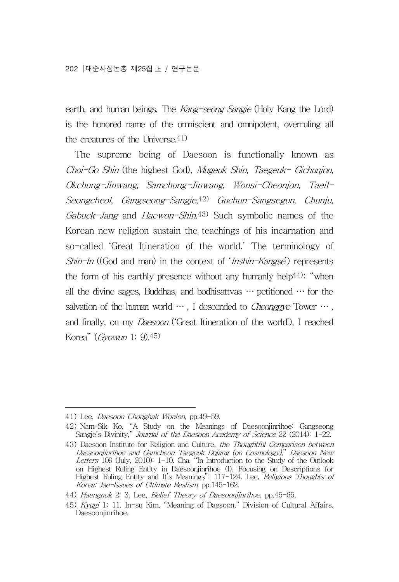earth, and human beings. The Kang-seong Sangje (Holy Kang the Lord) is the honored name of the omniscient and omnipotent, overruling all the creatures of the Universe.41)

The supreme being of Daesoon is functionally known as Choi-Go Shin (the highest God), Mugeuk Shin, Taegeuk- Gichunjon, Okchung-Jinwang, Samchung-Jinwang, Wonsi-Cheonjon, Taeil-Seongcheol, Gangseong-Sangje,42) Guchun-Sangsegun, Chunju, Gabuck-Jang and Haewon-Shin.<sup>43)</sup> Such symbolic names of the Korean new religion sustain the teachings of his incarnation and so-called 'Great Itineration of the world.' The terminology of Shin-In ((God and man) in the context of 'Inshin-Kangse') represents the form of his earthly presence without any humanly help44): "when all the divine sages. Buddhas, and bodhisattvas  $\cdots$  petitioned  $\cdots$  for the salvation of the human world  $\cdots$ , I descended to *Cheonggye* Tower  $\cdots$ , and finally, on my *Daesoon* ('Great Itineration of the world'), I reached Korea" (Gyowun 1: 9).45)

<sup>41)</sup> Lee, Daesoon Chonghak Wonlon, pp.49-59.

<sup>42)</sup> Nam-Sik Ko, "A Study on the Meanings of Daesoonjinrihoe: Gangseong Sangje's Divinity," Journal of the Daesoon Academy of Science 22 (2014): 1-22.

<sup>43)</sup> Daesoon Institute for Religion and Culture, the Thoughtful Comparison between Daesoonjinrihoe and Gamcheon Taegeuk Dojang (on Cosmology)," Daesoon New Letters 109 (July, 2010): 1-10. Cha, "In Introduction to the Study of the Outlook on Highest Ruling Entity in Daesoonjinrihoe (I), Focusing on Descriptions for Highest Ruling Entity and It's Meanings": 117-124. Lee, Religious Thoughts of Korea: Jae-Issues of Ultimate Realism, pp.145-162.

<sup>44)</sup> Haengnok 2: 3. Lee, Belief Theory of Daesoonjinrihoe, pp.45-65.

<sup>45)</sup> Kyugi 1: 11. In-su Kim, "Meaning of Daesoon," Division of Cultural Affairs, Daesoonjinrihoe.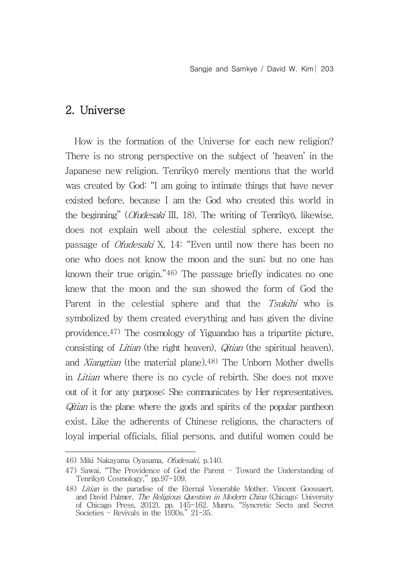#### 2. Universe

How is the formation of the Universe for each new religion? There is no strong perspective on the subject of 'heaven' in the Japanese new religion. Tenrikyō merely mentions that the world was created by God: "I am going to intimate things that have never existed before, because I am the God who created this world in the beginning" (Ofudesaki III, 18). The writing of Tenrikyō, likewise, does not explain well about the celestial sphere, except the passage of Ofudesaki X, 14: "Even until now there has been no one who does not know the moon and the sun; but no one has known their true origin."46) The passage briefly indicates no one knew that the moon and the sun showed the form of God the Parent in the celestial sphere and that the Tsukihi who is symbolized by them created everything and has given the divine providence.47) The cosmology of Yiguandao has a tripartite picture, consisting of *Litian* (the right heaven), *Qitian* (the spiritual heaven), and Xiangtian (the material plane).48) The Unborn Mother dwells in Litian where there is no cycle of rebirth. She does not move out of it for any purpose; She communicates by Her representatives. Qitian is the plane where the gods and spirits of the popular pantheon exist. Like the adherents of Chinese religions, the characters of loyal imperial officials, filial persons, and dutiful women could be

<sup>46)</sup> Miki Nakayama Oyasama, Ofudesaki, p.140.

<sup>47)</sup> Sawai, "The Providence of God the Parent – Toward the Understanding of Tenrikyō Cosmology," pp.97-109.

<sup>48)</sup> Litian is the paradise of the Eternal Venerable Mother. Vincent Goossaert, and David Palmer, The Religious Question in Modern China (Chicago: University of Chicago Press, 2012), pp. 145-162. Munro, "Syncretic Sects and Secret Societies – Revivals in the 1930s." 21-35.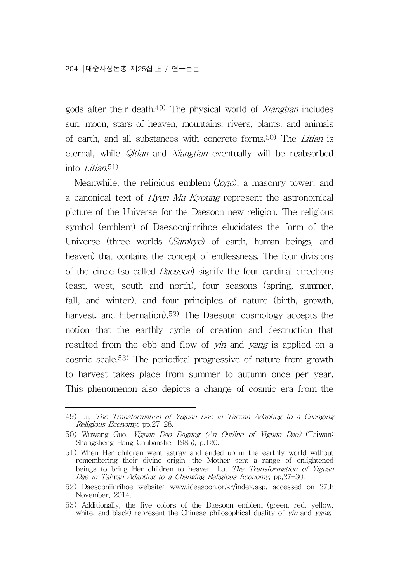gods after their death.49) The physical world of Xiangtian includes sun, moon, stars of heaven, mountains, rivers, plants, and animals of earth, and all substances with concrete forms.50) The Litian is eternal, while Qitian and Xiangtian eventually will be reabsorbed into Litian<sup>51)</sup>

Meanwhile, the religious emblem (*logo*), a masonry tower, and a canonical text of Hyun Mu Kyoung represent the astronomical picture of the Universe for the Daesoon new religion. The religious symbol (emblem) of Daesoonjinrihoe elucidates the form of the Universe (three worlds (Samkye) of earth, human beings, and heaven) that contains the concept of endlessness. The four divisions of the circle (so called Daesoon) signify the four cardinal directions (east, west, south and north), four seasons (spring, summer, fall, and winter), and four principles of nature (birth, growth, harvest, and hibernation).<sup>52)</sup> The Daesoon cosmology accepts the notion that the earthly cycle of creation and destruction that resulted from the ebb and flow of *yin* and *yang* is applied on a cosmic scale.53) The periodical progressive of nature from growth to harvest takes place from summer to autumn once per year. This phenomenon also depicts a change of cosmic era from the

<sup>49)</sup> Lu, The Transformation of Yiguan Dae in Taiwan Adapting to a Changing Religious Economy, pp.27-28.

<sup>50)</sup> Wuwang Guo, Yiguan Dao Dagang (An Outline of Yiguan Dao) (Taiwan: Shangsheng Hang Chubanshe, 1985), p.120.

<sup>51)</sup> When Her children went astray and ended up in the earthly world without remembering their divine origin, the Mother sent a range of enlightened beings to bring Her children to heaven. Lu, The Transformation of Yiguan Dae in Taiwan Adapting to a Changing Religious Economy, pp,27-30.

<sup>52)</sup> Daesoonjinrihoe website: www.ideasoon.or.kr/index.asp, accessed on 27th November, 2014.

<sup>53)</sup> Additionally, the five colors of the Daesoon emblem (green, red, yellow, white, and black) represent the Chinese philosophical duality of yin and yang.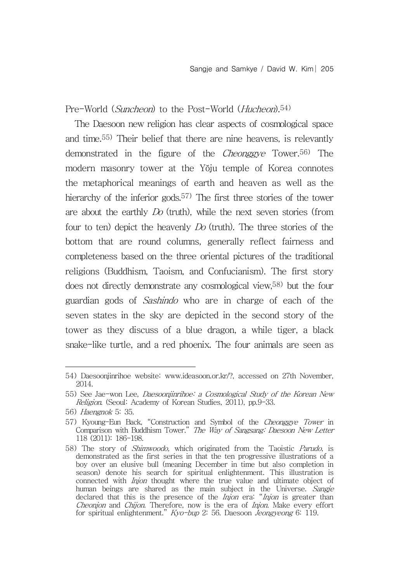Pre-World (Suncheon) to the Post-World (Hucheon).<sup>54)</sup>

The Daesoon new religion has clear aspects of cosmological space and time.55) Their belief that there are nine heavens, is relevantly demonstrated in the figure of the *Cheonggye* Tower.<sup>56)</sup> The modern masonry tower at the Yŏju temple of Korea connotes the metaphorical meanings of earth and heaven as well as the hierarchy of the inferior gods.<sup>57)</sup> The first three stories of the tower are about the earthly Do (truth), while the next seven stories (from four to ten) depict the heavenly Do (truth). The three stories of the bottom that are round columns, generally reflect fairness and completeness based on the three oriental pictures of the traditional religions (Buddhism, Taoism, and Confucianism). The first story does not directly demonstrate any cosmological view,58) but the four guardian gods of Sashindo who are in charge of each of the seven states in the sky are depicted in the second story of the tower as they discuss of a blue dragon, a while tiger, a black snake-like turtle, and a red phoenix. The four animals are seen as

<sup>54)</sup> Daesoonjinrihoe website: www.ideasoon.or.kr/?, accessed on 27th November, 2014.

<sup>55)</sup> See Jae-won Lee, Daesoonjinrihoe: a Cosmological Study of the Korean New Religion. (Seoul: Academy of Korean Studies, 2011), pp.9-33.

<sup>56)</sup> Haengnok 5: 35.

<sup>57)</sup> Kyoung-Eun Back, "Construction and Symbol of the Cheonggye Tower in Comparison with Buddhism Tower." The Way of Sangsang: Daesoon New Letter 118 (2011): 186-198.

<sup>58)</sup> The story of Shimwoodo, which originated from the Taoistic Parudo, is demonstrated as the first series in that the ten progressive illustrations of a boy over an elusive bull (meaning December in time but also completion in season) denote his search for spiritual enlightenment. This illustration is connected with *Injon* thought where the true value and ultimate object of human beings are shared as the main subject in the Universe. *Sangje* declared that this is the presence of the *Injon* era: "*Injon* is greater than Cheonjon and Chijon. Therefore, now is the era of Injon. Make every effort for spiritual enlightenment." Kyo-bup 2: 56. Daesoon Jeongyeong 6: 119.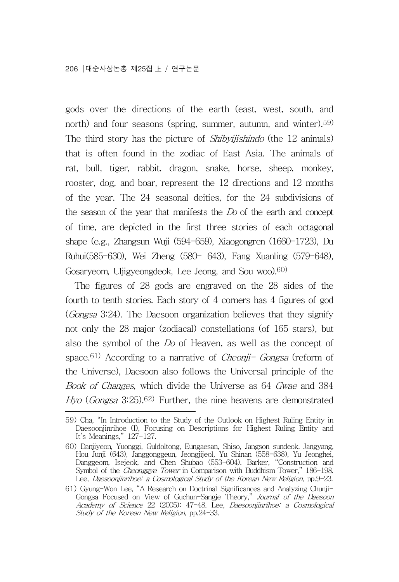gods over the directions of the earth (east, west, south, and north) and four seasons (spring, summer, autumn, and winter).59) The third story has the picture of *Shibyijishindo* (the 12 animals) that is often found in the zodiac of East Asia. The animals of rat, bull, tiger, rabbit, dragon, snake, horse, sheep, monkey, rooster, dog, and boar, represent the 12 directions and 12 months of the year. The 24 seasonal deities, for the 24 subdivisions of the season of the year that manifests the Do of the earth and concept of time, are depicted in the first three stories of each octagonal shape (e.g., Zhangsun Wuji (594-659), Xiaogongren (1660-1723), Du Ruhui(585-630), Wei Zheng (580- 643), Fang Xuanling (579-648), Gosaryeom, Uljigyeongdeok, Lee Jeong, and Sou woo).60)

The figures of 28 gods are engraved on the 28 sides of the fourth to tenth stories. Each story of 4 corners has 4 figures of god (Gongsa 3:24). The Daesoon organization believes that they signify not only the 28 major (zodiacal) constellations (of 165 stars), but also the symbol of the Do of Heaven, as well as the concept of space.<sup>61)</sup> According to a narrative of *Cheonji- Gongsa* (reform of the Universe), Daesoon also follows the Universal principle of the Book of Changes, which divide the Universe as 64 Gwae and 384 Hyo (Gongsa 3:25).<sup>62)</sup> Further, the nine heavens are demonstrated

<sup>59)</sup> Cha, "In Introduction to the Study of the Outlook on Highest Ruling Entity in Daesoonjinrihoe (I), Focusing on Descriptions for Highest Ruling Entity and It's Meanings," 127-127.

<sup>60)</sup> Danjiyeon, Yuonggi, Guldoltong, Eungaesan, Shiso, Jangson sundeok, Jangyang, Hou Junji (643), Janggonggeun, Jeongjijeol, Yu Shinan (558-638), Yu Jeonghei, Danggeom, Isejeok, and Chen Shubao (553-604). Barker, "Construction and Symbol of the Cheonggye Tower in Comparison with Buddhism Tower," 186-198. Lee, Daesoonjinrihoe: a Cosmological Study of the Korean New Religion, pp.9-23.

<sup>61)</sup> Gyung-Won Lee, "A Research on Doctrinal Significances and Analyzing Chunji-Gongsa Focused on View of Guchun-Sangje Theory," Journal of the Daesoon Academy of Science 22 (2005): 47-48. Lee, Daesoonjinrihoe: a Cosmological Study of the Korean New Religion, pp.24-33.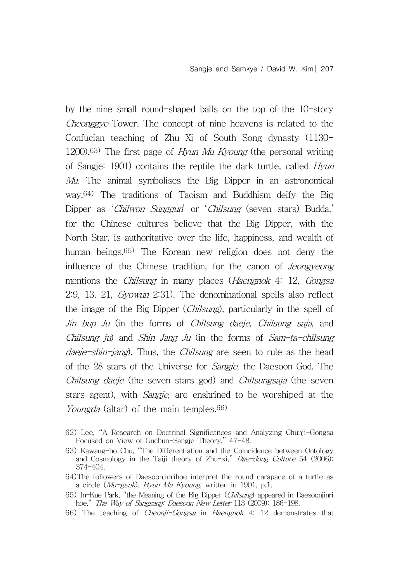by the nine small round-shaped balls on the top of the 10-story Cheonggye Tower. The concept of nine heavens is related to the Confucian teaching of Zhu Xi of South Song dynasty (1130-  $1200$ .<sup>63)</sup> The first page of *Hyun Mu Kyoung* (the personal writing of Sangje: 1901) contains the reptile the dark turtle, called Hyun Mu. The animal symbolises the Big Dipper in an astronomical way.64) The traditions of Taoism and Buddhism deify the Big Dipper as 'Chilwon Sunggun' or 'Chilsung (seven stars) Budda,' for the Chinese cultures believe that the Big Dipper, with the North Star, is authoritative over the life, happiness, and wealth of human beings.65) The Korean new religion does not deny the influence of the Chinese tradition, for the canon of Jeongyeong mentions the *Chilsung* in many places (*Haengnok* 4: 12, *Gongsa* 2:9, 13, 21, Gyowun 2:31). The denominational spells also reflect the image of the Big Dipper (Chilsung), particularly in the spell of Jin bup Ju (in the forms of Chilsung daeje, Chilsung saja, and Chilsung ju) and Shin Jang Ju (in the forms of Sam-ta-chilsung daeje-shin-jang). Thus, the *Chilsung* are seen to rule as the head of the 28 stars of the Universe for Sangje, the Daesoon God. The Chilsung daeje (the seven stars god) and Chilsungsaja (the seven stars agent), with *Sangje*, are enshrined to be worshiped at the Youngda (altar) of the main temples.<sup>66)</sup>

66) The teaching of Cheonji-Gongsa in Haengnok 4: 12 demonstrates that

<sup>62)</sup> Lee, "A Research on Doctrinal Significances and Analyzing Chunji-Gongsa Focused on View of Guchun-Sangje Theory," 47-48.

<sup>63)</sup> Kawang-ho Chu, "The Differentiation and the Coincidence between Ontology and Cosmology in the Taiji theory of Zhu-xi," Dae-dong Culture 54 (2006): 374-404.

<sup>64)</sup>The followers of Daesoonjinrihoe interpret the round carapace of a turtle as a circle ( $Mu$ -geuk). Hyun Mu Kyoung, written in 1901, p.1.

<sup>65)</sup> In-Kue Park, "the Meaning of the Big Dipper (Chilsung) appeared in Daesoonjinri hoe," The Way of Sangsang: Daesoon New Letter 113 (2009): 186-198.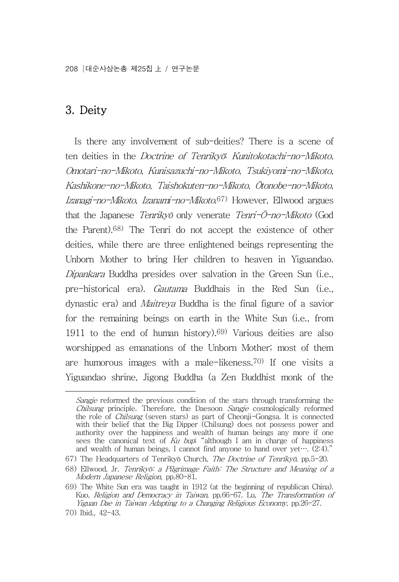208 대순사상논총 제25집 上 / 연구논문

## 3. Deity

Is there any involvement of sub-deities? There is a scene of ten deities in the *Doctrine of Tenrikvō*: Kunitokotachi-no-Mikoto, Omotari-no-Mikoto, Kunisazuchi-no-Mikoto, Tsukiyomi-no-Mikoto, Kashikone-no-Mikoto, Taishokuten-no-Mikoto, Ōtonobe-no-Mikoto, Izanagi-no-Mikoto, Izanami-no-Mikoto.67) However, Ellwood argues that the Japanese *Tenrikyō* only venerate *Tenri-Ō-no-Mikoto* (God the Parent).68) The Tenri do not accept the existence of other deities, while there are three enlightened beings representing the Unborn Mother to bring Her children to heaven in Yiguandao. Dipankara Buddha presides over salvation in the Green Sun (i.e., pre-historical era). Gautama Buddhais in the Red Sun (i.e., dynastic era) and Maitreya Buddha is the final figure of a savior for the remaining beings on earth in the White Sun (i.e., from 1911 to the end of human history).<sup>69)</sup> Various deities are also worshipped as emanations of the Unborn Mother; most of them are humorous images with a male-likeness.70) If one visits a Yiguandao shrine, Jigong Buddha (a Zen Buddhist monk of the

Sangie reformed the previous condition of the stars through transforming the Chilsung principle. Therefore, the Daesoon Sangje cosmologically reformed the role of Chilsung (seven stars) as part of Cheonji-Gongsa. It is connected with their belief that the Big Dipper (Chilsung) does not possess power and authority over the happiness and wealth of human beings any more if one sees the canonical text of  $Ku$  bup; "although I am in charge of happiness and wealth of human beings, I cannot find anyone to hand over yet….  $(2.4)$ ."

<sup>67)</sup> The Headquarters of Tenrikyō Church, The Doctrine of Tenrikyō, pp.5-20.

<sup>68)</sup> Ellwood, Jr. Tenrikyō: a Pilgrimage Faith: The Structure and Meaning of a Modern Japanese Religion, pp.80-81.

<sup>69)</sup> The White Sun era was taught in 1912 (at the beginning of republican China). Kuo, Religion and Democracy in Taiwan, pp.66-67. Lu, The Transformation of Yiguan Dae in Taiwan Adapting to a Changing Religious Economy, pp.26-27.

<sup>70)</sup> Ibid., 42-43.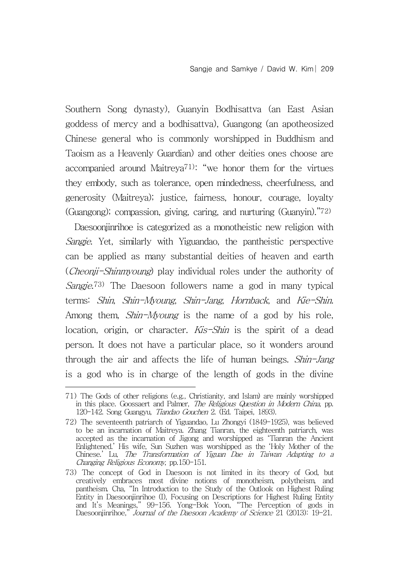Southern Song dynasty), Guanyin Bodhisattva (an East Asian goddess of mercy and a bodhisattva), Guangong (an apotheosized Chinese general who is commonly worshipped in Buddhism and Taoism as a Heavenly Guardian) and other deities ones choose are accompanied around Maitreya<sup>71): "</sup>we honor them for the virtues they embody, such as tolerance, open mindedness, cheerfulness, and generosity (Maitreya); justice, fairness, honour, courage, loyalty (Guangong); compassion, giving, caring, and nurturing (Guanyin)."72)

Daesoonjinrihoe is categorized as a monotheistic new religion with Sangje. Yet, similarly with Yiguandao, the pantheistic perspective can be applied as many substantial deities of heaven and earth (Cheonji-Shinmyoung) play individual roles under the authority of Sangje.<sup>73)</sup> The Daesoon followers name a god in many typical terms: *Shin, Shin-Myoung, Shin-Jang, Hornback*, and *Kie-Shin.*<br>Among them, *Shin-Myoung* is the name of a god by his role, location, origin, or character. Kis-Shin is the spirit of a dead person. It does not have a particular place, so it wonders around through the air and affects the life of human beings. Shin-Jang is a god who is in charge of the length of gods in the divine

<sup>71)</sup> The Gods of other religions (e.g., Christianity, and Islam) are mainly worshipped in this place. Goossaert and Palmer, The Religious Question in Modern China, pp. 120-142. Song Guangyu, Tiandao Gouchen 2. (Ed. Taipei, 1893).

<sup>72)</sup> The seventeenth patriarch of Yiguandao, Lu Zhongyi (1849-1925), was believed to be an incarnation of Maitreya. Zhang Tianran, the eighteenth patriarch, was accepted as the incarnation of Jigong and worshipped as 'Tianran the Ancient Enlightened.' His wife, Sun Suzhen was worshipped as the 'Holy Mother of the Chinese.' Lu, The Transformation of Yiguan Dae in Taiwan Adapting to a Changing Religious Economy, pp.150-151.

<sup>73)</sup> The concept of God in Daesoon is not limited in its theory of God, but creatively embraces most divine notions of monotheism, polytheism, and pantheism. Cha, "In Introduction to the Study of the Outlook on Highest Ruling Entity in Daesoonjinrihoe (I), Focusing on Descriptions for Highest Ruling Entity and It's Meanings," 99-156. Yong-Bok Yoon, "The Perception of gods in Daesoonjinrihoe," Journal of the Daesoon Academy of Science 21 (2013): 19-21.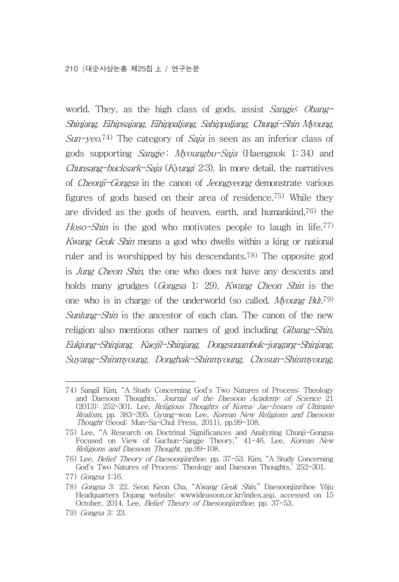world. They, as the high class of gods, assist Sangje: Obang-Shinjang, Eihipsajang, Eihippaljang, Sahippaljang, Chungi-Shin Myoung,  $Sun$ -yeo.<sup>74)</sup> The category of *Saja* is seen as an inferior class of gods supporting *Sangje: Myoungbu-Saja* (Haengnok 1:34) and Chunsang-bucksark-Saja (Kyungi 2:3). In more detail, the narratives of Cheonji-Gongsa in the canon of Jeongyeong demonstrate various figures of gods based on their area of residence.75) While they are divided as the gods of heaven, earth, and humankind,  $76$  the Hoso-Shin is the god who motivates people to laugh in life.<sup>77)</sup> Kwang Geuk Shin means a god who dwells within a king or national ruler and is worshipped by his descendants.78) The opposite god is Jung Cheon Shin, the one who does not have any descents and holds many grudges (Gongsa 1: 29). Kwang Cheon Shin is the one who is in charge of the underworld (so called, *Myoung Bu*).<sup>79)</sup> Sunlung-Shin is the ancestor of each clan. The canon of the new religion also mentions other names of god including *Gibang-Shin*, Eukjung-Shinjang, Kaejil-Shinjang, Dongsunambuk-jungarg-Shinjang, Suyang-Shinmyoung, Donghak-Shinmyoung, Chosun-Shinmyoung,

<sup>74)</sup> Sangil Kim, "A Study Concerning God's Two Natures of Process: Theology and Daesoon Thoughts,' *Journal of the Daesoon Academy of Science* 21 (2013): 252-301. Lee, Religious Thoughts of Korea: Jae-Issues of Ultimate Realism, pp. 383-395. Gyung-won Lee, Korean New Religions and Daesoon Thought (Seoul: Mun-Sa-Chul Press, 2011), pp.99-108.

<sup>75)</sup> Lee, "A Research on Doctrinal Significances and Analyzing Chunji-Gongsa Focused on View of Guchun-Sangje Theory," 41-46. Lee, Korean New Religions and Daesoon Thought, pp.99-108.

<sup>76)</sup> Lee, Belief Theory of Daesoonjinrihoe, pp. 37-53. Kim, "A Study Concerning God's Two Natures of Process: Theology and Daesoon Thoughts,' 252-301.

<sup>77)</sup> Gongsa 1:16.

<sup>78)</sup> Gongsa 3: 22. Seon Keon Cha, "Kwang Geuk Shin," Daesoonjinrihoe Yŏju Headquarters Dojang website: wwwideasoon.or.kr/index.asp, accessed on 15 October, 2014. Lee, Belief Theory of Daesoonjinrihoe, pp. 37-53.

<sup>79)</sup> Gongsa 3: 23.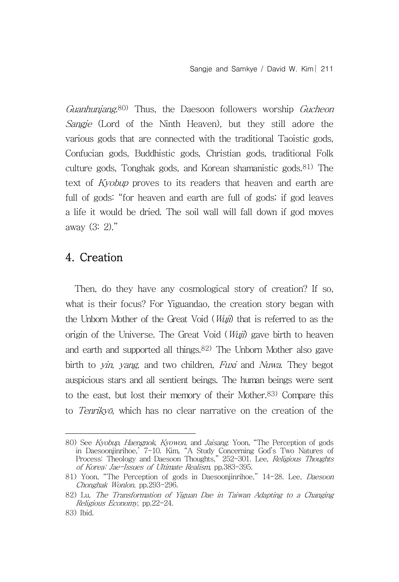Guanhunjang.<sup>80)</sup> Thus, the Daesoon followers worship Gucheon Sangje (Lord of the Ninth Heaven), but they still adore the various gods that are connected with the traditional Taoistic gods, Confucian gods, Buddhistic gods, Christian gods, traditional Folk culture gods, Tonghak gods, and Korean shamanistic gods.81) The text of Kyobup proves to its readers that heaven and earth are full of gods: "for heaven and earth are full of gods; if god leaves a life it would be dried. The soil wall will fall down if god moves away (3: 2)."

## 4. Creation

Then, do they have any cosmological story of creation? If so, what is their focus? For Yiguandao, the creation story began with the Unborn Mother of the Great Void (*Wuji*) that is referred to as the origin of the Universe. The Great Void  $(Wuji)$  gave birth to heaven and earth and supported all things.82) The Unborn Mother also gave birth to *vin, vang*, and two children, *Fuxi* and *Nuwa*. They begot auspicious stars and all sentient beings. The human beings were sent to the east, but lost their memory of their Mother.83) Compare this to Tenrikyō, which has no clear narrative on the creation of the

<sup>80)</sup> See Kyobup, Haengnok, Kyowon, and Jaisang. Yoon, "The Perception of gods in Daesoonjinrihoe,' 7-10. Kim, "A Study Concerning God's Two Natures of Process: Theology and Daesoon Thoughts," 252-301. Lee, Religious Thoughts of Korea: Jae-Issues of Ultimate Realism, pp.383-395.

<sup>81)</sup> Yoon, "The Perception of gods in Daesoonjinrihoe," 14-28. Lee, Daesoon Chonghak Wonlon, pp.293-296.

<sup>82)</sup> Lu, The Transformation of Yiguan Dae in Taiwan Adapting to a Changing Religious Economy, pp.22-24.

<sup>83)</sup> Ibid.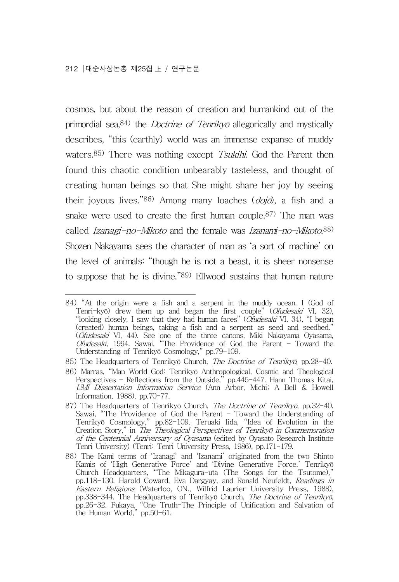cosmos, but about the reason of creation and humankind out of the primordial sea,  $84$ ) the *Doctrine of Tenriky*<sup> $\bar{o}$ </sup> allegorically and mystically describes, "this (earthly) world was an immense expanse of muddy waters.<sup>85)</sup> There was nothing except *Tsukihi*. God the Parent then found this chaotic condition unbearably tasteless, and thought of creating human beings so that She might share her joy by seeing their joyous lives."86) Among many loaches  $(doj\vec{o})$ , a fish and a snake were used to create the first human couple.87) The man was called *Izanagi-no-Mikoto* and the female was *Izanami-no-Mikoto*.<sup>88)</sup> Shozen Nakayama sees the character of man as 'a sort of machine' on the level of animals: "though he is not a beast, it is sheer nonsense to suppose that he is divine."89) Ellwood sustains that human nature

<sup>84)</sup> "At the origin were a fish and a serpent in the muddy ocean. I (God of Tenri-kyō) drew them up and began the first couple" (Ofudesaki VI, 32), "looking closely, I saw that they had human faces" (Ofudesaki VI, 34), "I began (created) human beings, taking a fish and a serpent as seed and seedbed." (Ofudesaki VI, 44). See one of the three canons, Miki Nakayama Oyasama, Ofudesaki, 1994. Sawai, "The Providence of God the Parent – Toward the Understanding of Tenrikyō Cosmology," pp.79-109.

<sup>85)</sup> The Headquarters of Tenrikyō Church, The Doctrine of Tenrikyō, pp.28-40.

<sup>86)</sup> Marras, "Man World God: Tenrikyō Anthropological, Cosmic and Theological Perspectives – Reflections from the Outside," pp.445-447. Hann Thomas Kitai, UMI Dissertation Information Service (Ann Arbor, Michi; A Bell & Howell Information, 1988), pp.70-77.

<sup>87)</sup> The Headquarters of Tenrikyō Church, The Doctrine of Tenrikyō, pp.32-40. Sawai, "The Providence of God the Parent – Toward the Understanding of Tenrikyō Cosmology," pp.82-109. Teruaki Iida, "Idea of Evolution in the Creation Story," in The Theological Perspectives of Tenrikyō in Commemoration of the Centennial Anniversary of Oyasama (edited by Oyasato Research Institute Tenri University) (Tenri: Tenri University Press, 1986), pp.171-179.

<sup>88)</sup> The Kami terms of 'Izanagi' and 'Izanami' originated from the two Shinto Kamis of 'High Generative Force' and 'Divine Generative Force.' Tenrikyō Church Headquarters, "The Mikagura-uta (The Songs for the Tsutome)," pp.118-130. Harold Coward, Eva Dargyay, and Ronald Neufeldt, Readings in Eastern Religions (Waterloo, ON., Wilfrid Laurier University Press, 1988), pp.338-344. The Headquarters of Tenrikyō Church, The Doctrine of Tenrikyō, pp.338–344. The Headquarters of Tenrikyō Church, *The Doctrine of Tenrikyō,* pp.26–32. Fukaya, "One Truth–The Principle of Unification and Salvation of the Human World," pp.50-61.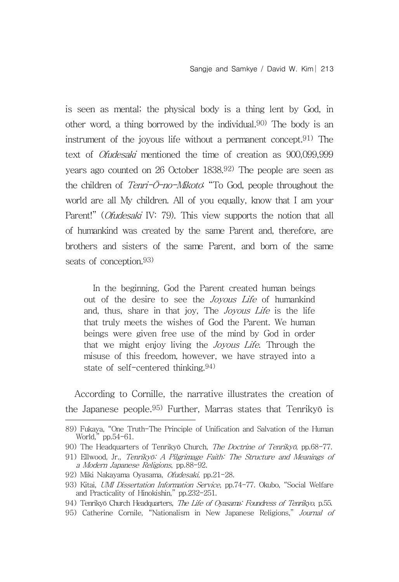is seen as mental; the physical body is a thing lent by God, in other word, a thing borrowed by the individual.90) The body is an instrument of the joyous life without a permanent concept.91) The text of Ofudesaki mentioned the time of creation as 900,099,999 years ago counted on 26 October 1838.92) The people are seen as the children of  $Tenni-\bar{O}-no-Mikoto$ . "To God, people throughout the world are all My children. All of you equally, know that I am your Parent!" (Ofudesaki IV: 79). This view supports the notion that all of humankind was created by the same Parent and, therefore, are brothers and sisters of the same Parent, and born of the same seats of conception.<sup>93)</sup>

In the beginning, God the Parent created human beings out of the desire to see the *Joyous Life* of humankind and, thus, share in that joy, The Joyous Life is the life that truly meets the wishes of God the Parent. We human beings were given free use of the mind by God in order that we might enjoy living the Joyous Life. Through the misuse of this freedom, however, we have strayed into a state of self-centered thinking.94)

According to Cornille, the narrative illustrates the creation of the Japanese people.95) Further, Marras states that Tenrikyō is

95) Catherine Cornile, "Nationalism in New Japanese Religions," Journal of

<sup>89)</sup> Fukaya, "One Truth-The Principle of Unification and Salvation of the Human World," pp.54-61.

<sup>90)</sup> The Headquarters of Tenrikyō Church, The Doctrine of Tenrikyō, pp.68-77.

<sup>91)</sup> Ellwood, Jr., Tenrikyō: A Pilgrimage Faith: The Structure and Meanings of a Modern Japanese Religions, pp.88-92.

<sup>92)</sup> Miki Nakayama Oyasama, Ofudesaki, pp.21-28.

<sup>93)</sup> Kitai, UMI Dissertation Information Service, pp.74-77. Okubo, "Social Welfare and Practicality of Hinokishin," pp.232-251.

<sup>94)</sup> Tenrikyō Church Headquarters, The Life of Oyasama: Foundress of Tenrikyo, p.55.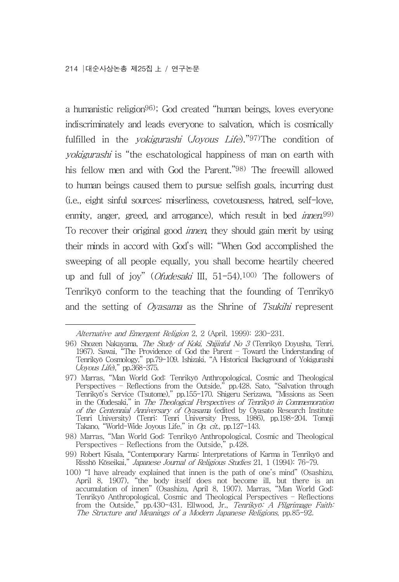a humanistic religion96); God created "human beings, loves everyone indiscriminately and leads everyone to salvation, which is cosmically fulfilled in the *yokigurashi* (*Joyous Life*)."97)The condition of yokigurashi is "the eschatological happiness of man on earth with his fellow men and with God the Parent."98) The freewill allowed to human beings caused them to pursue selfish goals, incurring dust (i.e., eight sinful sources: miserliness, covetousness, hatred, self-love, enmity, anger, greed, and arrogance), which result in bed *innen*.<sup>99)</sup> To recover their original good innen, they should gain merit by using their minds in accord with God's will; "When God accomplished the sweeping of all people equally, you shall become heartily cheered up and full of joy" (Ofudesaki III, 51-54).100) The followers of Tenrikyō conform to the teaching that the founding of Tenrikyō and the setting of Oyasama as the Shrine of Tsukihi represent

Alternative and Emergent Religion 2, 2 (April, 1999): 230-231.

<sup>96)</sup> Shozen Nakayama, The Study of Koki, Shijinful No 3 (Tenrikyō Doyusha, Tenri, 1967). Sawai, "The Providence of God the Parent – Toward the Understanding of Tenrikyō Cosmology," pp.79-109. Ishizaki, "A Historical Background of Yokigurashi (Joyous Life)," pp.368-375.

<sup>97)</sup> Marras, "Man World God: Tenrikyō Anthropological, Cosmic and Theological Perspectives – Reflections from the Outside," pp.428. Sato, "Salvation through Tenrikyō's Service (Tsutome)," pp.155-170. Shigeru Serizawa, "Missions as Seen in the Ofudesaki," in The Theological Perspectives of Tenrikyō in Commemoration of the Centennial Anniversary of Oyasama (edited by Oyasato Research Institute Tenri University) (Tenri: Tenri University Press, 1986), pp.198-204. Tomoji Takano, "World-Wide Joyous Life," in Op. cit., pp.127-143.

<sup>98)</sup> Marras, "Man World God: Tenrikyō Anthropological, Cosmic and Theological Perspectives – Reflections from the Outside," p.428.

<sup>99)</sup> Robert Kisala, "Contemporary Karma: Interpretations of Karma in Tenrikyō and Risshō Kōseikai," Japanese Journal of Religious Studies 21, 1 (1994): 76-79.

<sup>100)</sup> "I have already explained that innen is the path of one's mind" (Osashizu, April 8, 1907), "the body itself does not become ill, but there is an accumulation of innen" (Osashizu, April 8, 1907). Marras, "Man World God: Tenrikyō Anthropological, Cosmic and Theological Perspectives – Reflections from the Outside," pp.430-431. Ellwood, Jr., Tenrikyō: A Pilgrimage Faith: The Structure and Meanings of a Modern Japanese Religions, pp.85-92.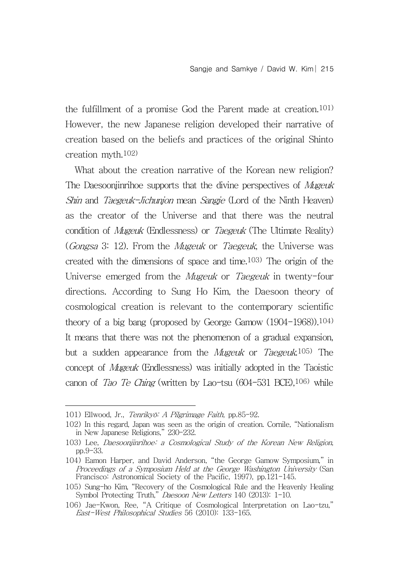the fulfillment of a promise God the Parent made at creation.101) However, the new Japanese religion developed their narrative of creation based on the beliefs and practices of the original Shinto creation myth.102)

What about the creation narrative of the Korean new religion? The Daesoonjinrihoe supports that the divine perspectives of *Mugeuk* Shin and Taegeuk-Jichunjon mean Sangje (Lord of the Ninth Heaven) as the creator of the Universe and that there was the neutral condition of *Mugeuk* (Endlessness) or *Taegeuk* (The Ultimate Reality) (Gongsa 3: 12). From the Mugeuk or Taegeuk, the Universe was created with the dimensions of space and time.103) The origin of the Universe emerged from the *Mugeuk* or *Taegeuk* in twenty-four directions. According to Sung Ho Kim, the Daesoon theory of cosmological creation is relevant to the contemporary scientific theory of a big bang (proposed by George Gamow (1904-1968)).104) It means that there was not the phenomenon of a gradual expansion, but a sudden appearance from the Mugeuk or Taegeuk.<sup>105)</sup> The concept of Mugeuk (Endlessness) was initially adopted in the Taoistic canon of Tao Te Ching (written by Lao-tsu (604-531 BCE),106) while

<sup>101)</sup> Ellwood, Jr., Tenrikyō: A Pilgrimage Faith, pp.85-92.

<sup>102)</sup> In this regard, Japan was seen as the origin of creation. Cornile, "Nationalism in New Japanese Religions," 230-232.

<sup>103)</sup> Lee, Daesoonjinrihoe: a Cosmological Study of the Korean New Religion, pp.9-33.

<sup>104)</sup> Eamon Harper, and David Anderson, "the George Gamow Symposium," in Proceedings of a Symposium Held at the George Washington University (San Francisco: Astronomical Society of the Pacific, 1997), pp.121-145.

<sup>105)</sup> Sung-ho Kim, "Recovery of the Cosmological Rule and the Heavenly Healing Symbol Protecting Truth," Daesoon New Letters 140 (2013): 1-10.

<sup>106)</sup> Jae-Kwon, Ree, "A Critique of Cosmological Interpretation on Lao-tzu," East-West Philosophical Studies 56 (2010): 133-165.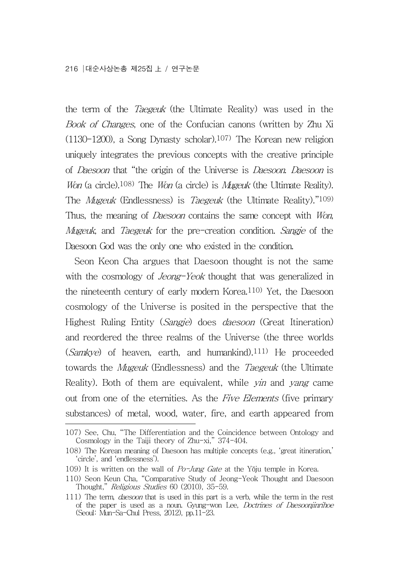the term of the *Taegeuk* (the Ultimate Reality) was used in the Book of Changes, one of the Confucian canons (written by Zhu Xi (1130-1200), a Song Dynasty scholar).107) The Korean new religion uniquely integrates the previous concepts with the creative principle of Daesoon that "the origin of the Universe is Daesoon. Daesoon is Won (a circle).<sup>108)</sup> The *Won* (a circle) is *Mugeuk* (the Ultimate Reality). The *Mugeuk* (Endlessness) is *Taegeuk* (the Ultimate Reality)."109) Thus, the meaning of *Daesoon* contains the same concept with *Won*, Mugeuk, and *Taegeuk* for the pre-creation condition. Sangje of the Daesoon God was the only one who existed in the condition.

Seon Keon Cha argues that Daesoon thought is not the same with the cosmology of *Jeong-Yeok* thought that was generalized in the nineteenth century of early modern Korea.110) Yet, the Daesoon cosmology of the Universe is posited in the perspective that the Highest Ruling Entity (Sangje) does daesoon (Great Itineration) and reordered the three realms of the Universe (the three worlds  $(Samkve)$  of heaven, earth, and humankind).<sup>111)</sup> He proceeded towards the *Mugeuk* (Endlessness) and the *Taegeuk* (the Ultimate Reality). Both of them are equivalent, while *yin* and *yang* came out from one of the eternities. As the Five Elements (five primary substances) of metal, wood, water, fire, and earth appeared from

<sup>107)</sup> See, Chu, "The Differentiation and the Coincidence between Ontology and Cosmology in the Taiji theory of Zhu-xi," 374-404.

<sup>108)</sup> The Korean meaning of Daesoon has multiple concepts (e.g., 'great itineration,' 'circle', and 'endlessness').

<sup>109)</sup> It is written on the wall of  $Po$ -Jung Gate at the Yŏju temple in Korea.

<sup>110)</sup> Seon Keun Cha, "Comparative Study of Jeong-Yeok Thought and Daesoon Thought," Religious Studies 60 (2010), 35-59.

<sup>111)</sup> The term, *daesoon* that is used in this part is a verb, while the term in the rest of the paper is used as a noun. Gyung-won Lee, Doctrines of Daesoonjinrihoe (Seoul: Mun-Sa-Chul Press, 2012), pp.11-23.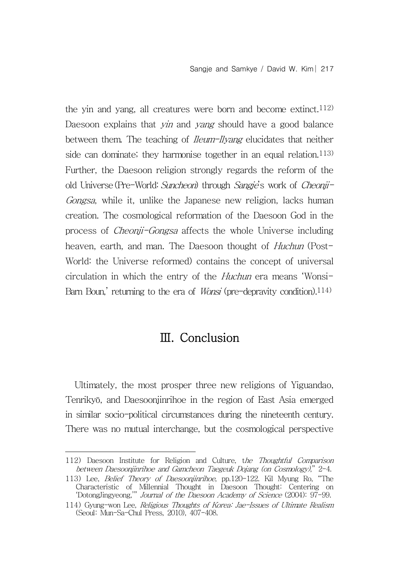the yin and yang, all creatures were born and become extinct.<sup>112)</sup> Daesoon explains that *yin* and *yang* should have a good balance between them. The teaching of *Ileum-Ilyang* elucidates that neither side can dominate; they harmonise together in an equal relation.<sup>113)</sup> Further, the Daesoon religion strongly regards the reform of the old Universe (Pre-World: Suncheon) through Sangje's work of Cheonji-Gongsa, while it, unlike the Japanese new religion, lacks human creation. The cosmological reformation of the Daesoon God in the process of Cheonji-Gongsa affects the whole Universe including heaven, earth, and man. The Daesoon thought of *Huchun* (Post-World: the Universe reformed) contains the concept of universal circulation in which the entry of the Huchun era means 'Wonsi-Barn Boun,' returning to the era of *Wonsi* (pre-depravity condition).<sup>114)</sup>

## Ⅲ. Conclusion

Ultimately, the most prosper three new religions of Yiguandao, Tenrikyō, and Daesoonjinrihoe in the region of East Asia emerged in similar socio-political circumstances during the nineteenth century. There was no mutual interchange, but the cosmological perspective

<sup>112)</sup> Daesoon Institute for Religion and Culture, the Thoughtful Comparison between Daesoonjinrihoe and Gamcheon Taegeuk Dojang (on Cosmology)," 2-4.

<sup>113)</sup> Lee, Belief Theory of Daesoonjinrihoe, pp.120-122. Kil Myung Ro, "The Characteristic of Millennial Thought in Daesoon Thought: Centering on 'DotongJingyeong,'" Journal of the Daesoon Academy of Science (2004): 97-99.

<sup>114)</sup> Gyung-won Lee, Religious Thoughts of Korea: Jae-Issues of Ultimate Realism (Seoul: Mun-Sa-Chul Press, 2010), 407-408.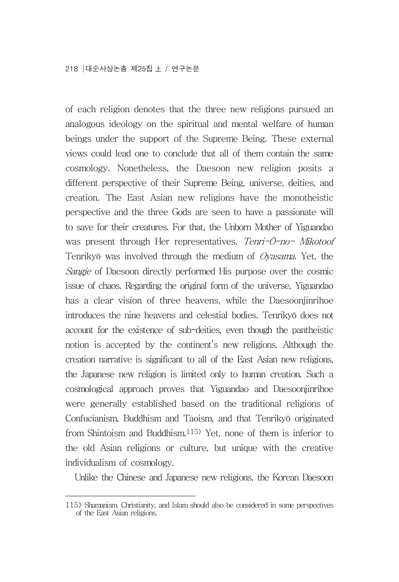of each religion denotes that the three new religions pursued an analogous ideology on the spiritual and mental welfare of human beings under the support of the Supreme Being. These external views could lead one to conclude that all of them contain the same cosmology. Nonetheless, the Daesoon new religion posits a different perspective of their Supreme Being, universe, deities, and creation. The East Asian new religions have the monotheistic perspective and the three Gods are seen to have a passionate will to save for their creatures. For that, the Unborn Mother of Yiguandao was present through Her representatives. Tenri-Ō-no- Mikotoof Tenrikyō was involved through the medium of Oyasama. Yet, the Sangje of Daesoon directly performed His purpose over the cosmic issue of chaos. Regarding the original form of the universe, Yiguandao has a clear vision of three heavens, while the Daesoonjinrihoe introduces the nine heavens and celestial bodies. Tenrikyō does not account for the existence of sub-deities, even though the pantheistic notion is accepted by the continent's new religions. Although the creation narrative is significant to all of the East Asian new religions, the Japanese new religion is limited only to human creation. Such a cosmological approach proves that Yiguandao and Daesoonjinrihoe were generally established based on the traditional religions of Confucianism, Buddhism and Taoism, and that Tenrikyō originated from Shintoism and Buddhism.115) Yet, none of them is inferior to the old Asian religions or culture, but unique with the creative individualism of cosmology.

Unlike the Chinese and Japanese new religions, the Korean Daesoon

<sup>115)</sup> Shamanism, Christianity, and Islam should also be considered in some perspectives of the East Asian religions.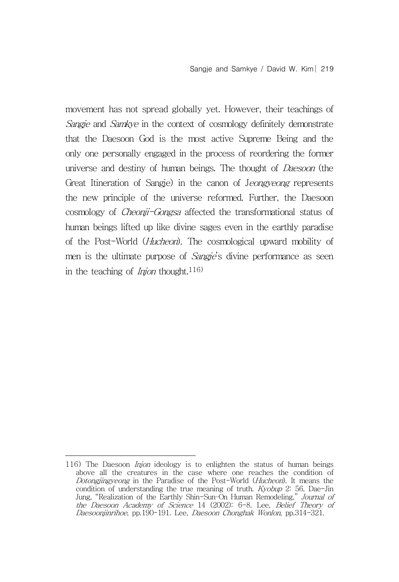movement has not spread globally yet. However, their teachings of Sangje and Samkye in the context of cosmology definitely demonstrate that the Daesoon God is the most active Supreme Being and the only one personally engaged in the process of reordering the former universe and destiny of human beings. The thought of *Daesoon* (the Great Itineration of Sangje) in the canon of Jeongyeong represents the new principle of the universe reformed. Further, the Daesoon cosmology of *Cheonji-Gongsa* affected the transformational status of human beings lifted up like divine sages even in the earthly paradise of the Post-World (Hucheon). The cosmological upward mobility of men is the ultimate purpose of *Sangje's* divine performance as seen in the teaching of *Injon* thought.<sup>116)</sup>

<sup>116)</sup> The Daesoon Injon ideology is to enlighten the status of human beings above all the creatures in the case where one reaches the condition of Dotongjingyeong in the Paradise of the Post-World (Hucheon). It means the condition of understanding the true meaning of truth. Kyobup 2: 56. Dae-Jin Jung, "Realization of the Earthly Shin-Sun–On Human Remodeling," Journal of the Daesoon Academy of Science 14 (2002): 6-8. Lee, Belief Theory of Daesoonjinrihoe, pp.190-191. Lee, Daesoon Chonghak Wonlon, pp.314-321.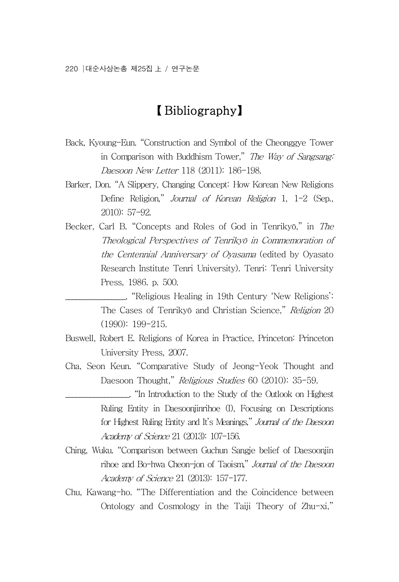## 【 Bibliography】

- Back, Kyoung-Eun. "Construction and Symbol of the Cheonggye Tower in Comparison with Buddhism Tower," The Way of Sangsang: Daesoon New Letter 118 (2011): 186-198.
- Barker, Don. "A Slippery, Changing Concept: How Korean New Religions Define Religion," Journal of Korean Religion 1, 1-2 (Sep., 2010): 57-92.
- Becker, Carl B. "Concepts and Roles of God in Tenrikyō," in The Theological Perspectives of Tenrikyō in Commemoration of the Centennial Anniversary of Oyasama (edited by Oyasato Research Institute Tenri University). Tenri: Tenri University Press, 1986. p. 500.

\_\_\_\_\_\_\_\_\_\_\_\_\_\_\_\_\_. "Religious Healing in 19th Century 'New Religions': The Cases of Tenrikyō and Christian Science," Religion 20 (1990): 199-215.

- Buswell, Robert E. Religions of Korea in Practice, Princeton: Princeton University Press, 2007.
- Cha, Seon Keun. "Comparative Study of Jeong-Yeok Thought and Daesoon Thought," Religious Studies 60 (2010): 35-59.
- \_\_\_\_\_\_\_\_\_\_\_\_\_\_\_\_\_\_. "In Introduction to the Study of the Outlook on Highest Ruling Entity in Daesoonjinrihoe (I), Focusing on Descriptions for Highest Ruling Entity and It's Meanings," Journal of the Daesoon Academy of Science 21 (2013): 107-156.
- Ching, Wuku. "Comparison between Guchun Sangje belief of Daesoonjin rihoe and Bo-hwa Cheon-jon of Taoism," Journal of the Daesoon Academy of Science 21 (2013): 157-177.
- Chu, Kawang-ho. "The Differentiation and the Coincidence between Ontology and Cosmology in the Taiji Theory of Zhu-xi,"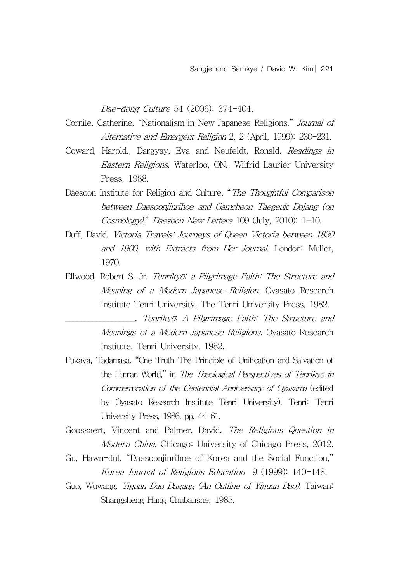Dae-dong Culture 54 (2006): 374-404.

- Cornile, Catherine. "Nationalism in New Japanese Religions," Journal of Alternative and Emergent Religion 2, 2 (April, 1999): 230-231.
- Coward, Harold., Dargyay, Eva and Neufeldt, Ronald. Readings in Eastern Religions. Waterloo, ON., Wilfrid Laurier University Press, 1988.
- Daesoon Institute for Religion and Culture, "The Thoughtful Comparison between Daesoonjinrihoe and Gamcheon Taegeuk Dojang (on Cosmology)," Daesoon New Letters 109 (July, 2010): 1-10.
- Duff, David. Victoria Travels: Journeys of Queen Victoria between 1830 and 1900, with Extracts from Her Journal. London: Muller, 1970.
- Ellwood, Robert S. Jr. Tenrikyō: a Pilgrimage Faith: The Structure and Meaning of a Modern Japanese Religion. Oyasato Research Institute Tenri University, The Tenri University Press, 1982.
	- \_\_\_\_\_\_\_\_\_\_\_\_\_\_\_\_\_\_. Tenrikyō: A Pilgrimage Faith: The Structure and Meanings of a Modern Japanese Religions. Oyasato Research Institute, Tenri University, 1982.
- Fukaya, Tadamasa. "One Truth-The Principle of Unification and Salvation of the Human World," in *The Theological Perspectives of Tenrikyō in* Commemoration of the Centennial Anniversary of Oyasama (edited by Oyasato Research Institute Tenri University). Tenri: Tenri University Press, 1986. pp. 44-61.
- Goossaert, Vincent and Palmer, David. The Religious Question in Modern China. Chicago: University of Chicago Press, 2012.
- Gu, Hawn-dul. "Daesoonjinrihoe of Korea and the Social Function," Korea Journal of Religious Education 9 (1999): 140-148.
- Guo, Wuwang. Yiguan Dao Dagang (An Outline of Yiguan Dao). Taiwan: Shangsheng Hang Chubanshe, 1985.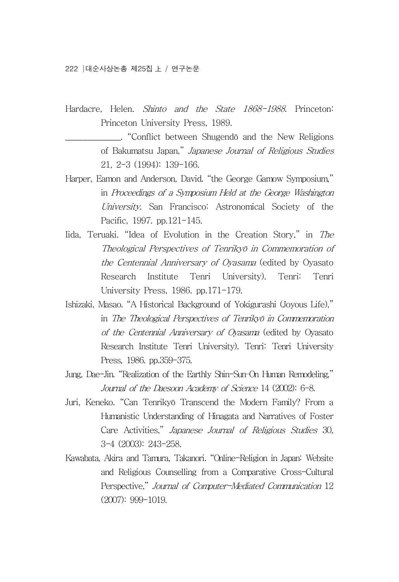Hardacre, Helen. Shinto and the State 1868-1988. Princeton: Princeton University Press, 1989.

> \_\_\_\_\_\_\_\_\_\_\_\_\_\_. "Conflict between Shugendō and the New Religions of Bakumatsu Japan," Japanese Journal of Religious Studies 21, 2-3 (1994): 139-166.

- Harper, Eamon and Anderson, David. "the George Gamow Symposium," in Proceedings of a Symposium Held at the George Washington University. San Francisco: Astronomical Society of the Pacific, 1997. pp.121-145.
- Iida, Teruaki. "Idea of Evolution in the Creation Story," in The Theological Perspectives of Tenrikyō in Commemoration of the Centennial Anniversary of Oyasama (edited by Oyasato Research Institute Tenri University). Tenri: Tenri University Press, 1986. pp.171-179.
- Ishizaki, Masao. "A Historical Background of Yokigurashi (Joyous Life)," in The Theological Perspectives of Tenrikyō in Commemoration of the Centennial Anniversary of Oyasama (edited by Oyasato Research Institute Tenri University). Tenri: Tenri University Press, 1986. pp.359-375.
- Jung, Dae-Jin. "Realization of the Earthly Shin-Sun–On Human Remodeling," Journal of the Daesoon Academy of Science 14 (2002): 6-8.
- Juri, Keneko. "Can Tenrikyō Transcend the Modern Family? From a Humanistic Understanding of Hinagata and Narratives of Foster Care Activities," Japanese Journal of Religious Studies 30, 3-4 (2003): 243-258.
- Kawabata, Akira and Tamura, Takanori. "Online-Religion in Japan: Website and Religious Counselling from a Comparative Cross-Cultural Perspective," Journal of Computer-Mediated Communication 12 (2007): 999-1019.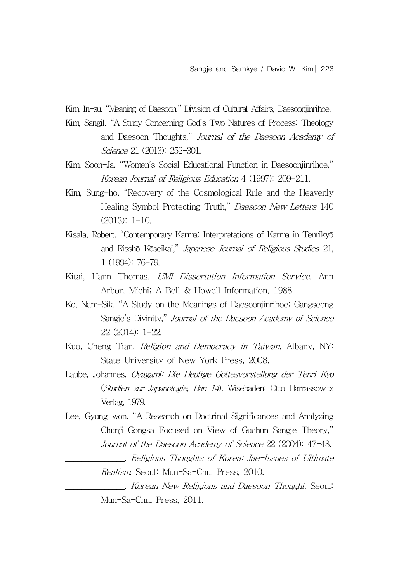Kim, In-su. "Meaning of Daesoon," Division of Cultural Affairs, Daesoonjinrihoe.

- Kim, Sangil. "A Study Concerning God's Two Natures of Process: Theology and Daesoon Thoughts," Journal of the Daesoon Academy of Science 21 (2013): 252-301.
- Kim, Soon-Ja. "Women's Social Educational Function in Daesoonjinrihoe," Korean Journal of Religious Education 4 (1997): 209-211.
- Kim, Sung-ho. "Recovery of the Cosmological Rule and the Heavenly Healing Symbol Protecting Truth," Daesoon New Letters 140 (2013): 1-10.
- Kisala, Robert. "Contemporary Karma: Interpretations of Karma in Tenrikyō and Risshō Kōseikai," Japanese Journal of Religious Studies 21, 1 (1994): 76-79.
- Kitai, Hann Thomas. UMI Dissertation Information Service. Ann Arbor, Michi; A Bell & Howell Information, 1988.
- Ko, Nam-Sik. "A Study on the Meanings of Daesoonjinrihoe: Gangseong Sangje's Divinity," Journal of the Daesoon Academy of Science 22 (2014): 1-22.
- Kuo, Cheng-Tian. Religion and Democracy in Taiwan. Albany, NY: State University of New York Press, 2008.
- Laube, Johannes. Oyagami: Die Heutige Gottesvorstellung der Tenri-Kyō (Studien zur Japanologie, Ban 14). Wisebaden: Otto Harrassowitz Verlag, 1979.
- Lee, Gyung-won. "A Research on Doctrinal Significances and Analyzing Chunji-Gongsa Focused on View of Guchun-Sangje Theory," Journal of the Daesoon Academy of Science 22 (2004): 47-48.
	- \_\_\_\_\_\_\_\_\_\_\_\_\_\_\_. Religious Thoughts of Korea: Jae-Issues of Ultimate Realism. Seoul: Mun-Sa-Chul Press, 2010.

\_\_\_\_\_\_\_\_\_\_\_\_\_\_\_. Korean New Religions and Daesoon Thought. Seoul: Mun-Sa-Chul Press, 2011.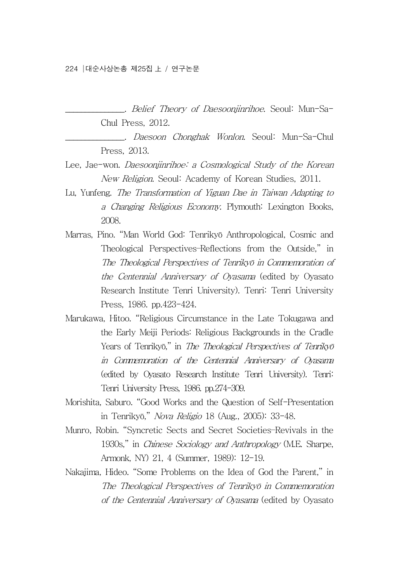\_\_\_\_\_\_\_\_\_\_\_\_\_\_\_. Belief Theory of Daesoonjinrihoe. Seoul: Mun-Sa-Chul Press, 2012.

\_\_\_\_\_\_\_\_\_\_\_\_\_\_\_. Daesoon Chonghak Wonlon. Seoul: Mun-Sa-Chul Press, 2013.

- Lee, Jae-won. Daesoonjinrihoe: a Cosmological Study of the Korean New Religion. Seoul: Academy of Korean Studies, 2011.
- Lu, Yunfeng. The Transformation of Yiguan Dae in Taiwan Adapting to a Changing Religious Economy. Plymouth: Lexington Books, 2008.
- Marras, Pino. "Man World God: Tenrikyō Anthropological, Cosmic and Theological Perspectives–Reflections from the Outside," in The Theological Perspectives of Tenrikyō in Commemoration of the Centennial Anniversary of Oyasama (edited by Oyasato Research Institute Tenri University). Tenri: Tenri University Press, 1986. pp.423-424.
- Marukawa, Hitoo. "Religious Circumstance in the Late Tokugawa and the Early Meiji Periods: Religious Backgrounds in the Cradle Years of Tenrikyō," in The Theological Perspectives of Tenrikyō in Commemoration of the Centennial Anniversary of Oyasama (edited by Oyasato Research Institute Tenri University). Tenri: Tenri University Press, 1986. pp.274-309.
- Morishita, Saburo. "Good Works and the Question of Self-Presentation in Tenrikyō," Nova Religio 18 (Aug., 2005): 33-48.
- Munro, Robin. "Syncretic Sects and Secret Societies–Revivals in the 1930s," in Chinese Sociology and Anthropology (M.E. Sharpe, Armonk, NY) 21, 4 (Summer, 1989): 12-19.
- Nakajima, Hideo. "Some Problems on the Idea of God the Parent," in The Theological Perspectives of Tenrikyō in Commemoration of the Centennial Anniversary of Oyasama (edited by Oyasato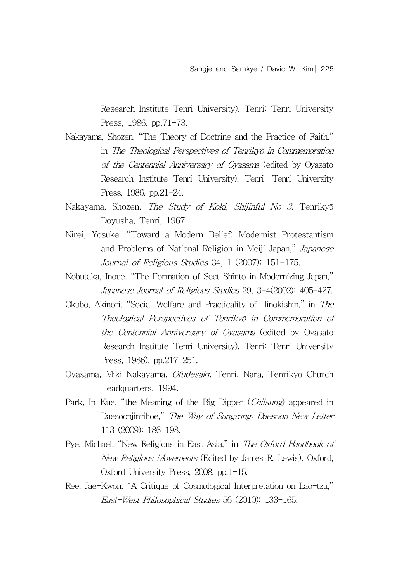Research Institute Tenri University). Tenri: Tenri University Press, 1986. pp.71-73.

- Nakayama, Shozen. "The Theory of Doctrine and the Practice of Faith," in The Theological Perspectives of Tenrikyō in Commemoration of the Centennial Anniversary of Oyasama (edited by Oyasato Research Institute Tenri University). Tenri: Tenri University Press, 1986. pp.21-24.
- Nakayama, Shozen. The Study of Koki, Shijinful No 3. Tenrikyō Doyusha, Tenri, 1967.
- Nirei, Yosuke. "Toward a Modern Belief: Modernist Protestantism and Problems of National Religion in Meiji Japan," Japanese Journal of Religious Studies 34, 1 (2007): 151-175.
- Nobutaka, Inoue. "The Formation of Sect Shinto in Modernizing Japan," Japanese Journal of Religious Studies 29, 3-4(2002): 405-427.
- Okubo, Akinori. "Social Welfare and Practicality of Hinokishin," in The Theological Perspectives of Tenrikyō in Commemoration of the Centennial Anniversary of Oyasama (edited by Oyasato Research Institute Tenri University). Tenri: Tenri University Press, 1986). pp.217-251.
- Oyasama, Miki Nakayama. Ofudesaki. Tenri, Nara, Tenrikyō Church Headquarters, 1994.
- Park, In-Kue. "the Meaning of the Big Dipper (*Chilsung*) appeared in Daesoonjinrihoe," The Way of Sangsang: Daesoon New Letter 113 (2009): 186-198.
- Pye, Michael. "New Religions in East Asia," in The Oxford Handbook of New Religious Movements (Edited by James R. Lewis). Oxford, Oxford University Press, 2008. pp.1-15.
- Ree, Jae-Kwon. "A Critique of Cosmological Interpretation on Lao-tzu," East-West Philosophical Studies 56 (2010): 133-165.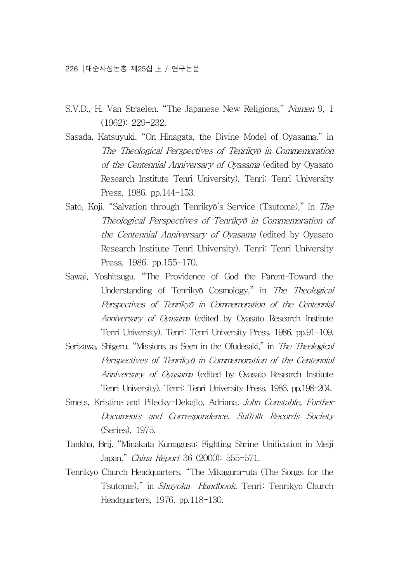- S.V.D., H. Van Straelen. "The Japanese New Religions," Numen 9, 1 (1962): 229-232.
- Sasada, Katsuyuki. "On Hinagata, the Divine Model of Oyasama," in The Theological Perspectives of Tenrikyō in Commemoration of the Centennial Anniversary of Oyasama (edited by Oyasato Research Institute Tenri University). Tenri: Tenri University Press, 1986. pp.144-153.
- Sato, Koji. "Salvation through Tenrikyō's Service (Tsutome)," in The Theological Perspectives of Tenrikyō in Commemoration of the Centennial Anniversary of Oyasama (edited by Oyasato Research Institute Tenri University). Tenri: Tenri University Press, 1986. pp.155-170.
- Sawai, Yoshitsugu. "The Providence of God the Parent–Toward the Understanding of Tenrikyō Cosmology," in The Theological Perspectives of Tenrikyō in Commemoration of the Centennial Anniversary of Oyasama (edited by Oyasato Research Institute Tenri University). Tenri: Tenri University Press, 1986. pp.91-109.
- Serizawa, Shigeru. "Missions as Seen in the Ofudesaki," in The Theological Perspectives of Tenrikyō in Commemoration of the Centennial Anniversary of Oyasama (edited by Oyasato Research Institute Tenri University). Tenri: Tenri University Press, 1986. pp.198-204.
- Smets, Kristine and Pilecky-Dekajlo, Adriana. John Constable, Further Documents and Correspondence. Suffolk Records Society (Series), 1975.
- Tankha, Brij. "Minakata Kumagusu: Fighting Shrine Unification in Meiji Japan," China Report 36 (2000): 555-571.
- Tenrikyō Church Headquarters, "The Mikagura-uta (The Songs for the Tsutome)," in Shuyoka Handbook. Tenri: Tenrikyō Church Headquarters, 1976. pp.118-130.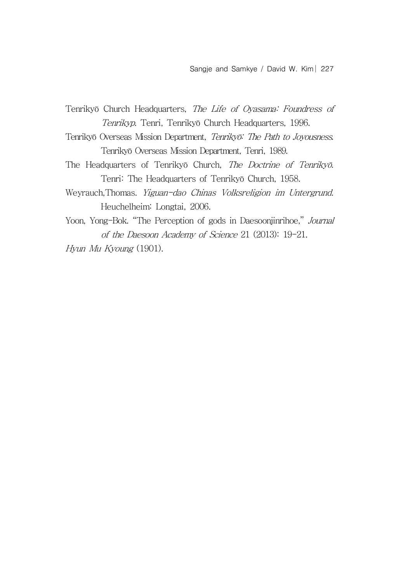- Tenrikyō Church Headquarters, The Life of Oyasama: Foundress of Tenrikyp. Tenri, Tenrikyō Church Headquarters, 1996.
- Tenrikyō Overseas Mission Department, Tenrikyō: The Path to Joyousness. Tenrikyō Overseas Mission Department, Tenri, 1989.
- The Headquarters of Tenrikyō Church, The Doctrine of Tenrikyō. Tenri: The Headquarters of Tenrikyō Church, 1958.
- Weyrauch,Thomas. Yiguan-dao Chinas Volksreligion im Untergrund. Heuchelheim: Longtai, 2006.
- Yoon, Yong-Bok. "The Perception of gods in Daesoonjinrihoe," Journal of the Daesoon Academy of Science 21 (2013): 19-21.
- Hyun Mu Kyoung (1901).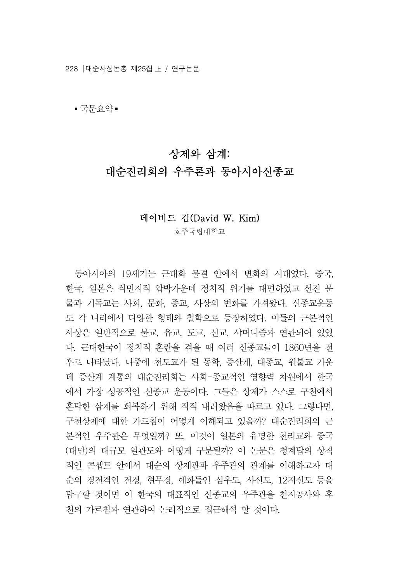228 대순사상논총 제25집 上 / 연구논문

▪ 국무요약▪

# 상제와 삼계: 대순진리회의 우주론과 동아시아신종교

#### 데이비드 김(David W. Kim)

호주국립대학교

- 동아시아의 19세기는 근대화 물결 안에서 변화의 시대였다. 중국,<br>-<br>한국, 일본은 식민지적 압박가운데 정치적 위기를 대면하였고 선진 문 물과 기독교는 사회, 문화, 종교, 사상의 변화를 가져왔다. 신종교운동 도 각 나라에서 다양한 형태와 철학으로 등장하였다. 이들의 근본적인 사상은 일반적으로 불교, 유교, 도교, 신교, 샤머니즘과 연관되어 있었 다. 근대한국이 정치적 혼란을 겪을 때 여러 신종교들이 1860년을 전 후로 나타났다. 나중에 천도교가 된 동학, 증산계, 대종교, 원불교 가운 데 증산계 계통의 대순진리회는 사회-종교적인 영향력 차원에서 한국 에서 가장 성공적인 신종교 운동이다. 그들은 상제가 스스로 구천에서 혼탁한 삼계를 회복하기 위해 직적 내려왔음을 따르고 있다. 그렇다면,<br>구천상제에 대한 가르침이 어떻게 이해되고 있을까? 대순진리회의 근 본적인 우주관은 무엇일까? 또, 이것이 일본의 유명한 천리교와 중국 (대만)의 대규모 일관도와 어떻게 구분될까? 이 논문은 청계탑의 상직 적인 콘셉트 안에서 대순의 상제관과 우주관의 관계를 이해하고자 대 순의 경전격인 전경, 현무경, 예화들인 심우도, 사신도, 12지신도 등을 탐구할 것이면 이 한국의 대표적인 신종교의 우주관을 천지공사와 후 천의 가르침과 연관하여 논리적으로 접근해석 할 것이다.